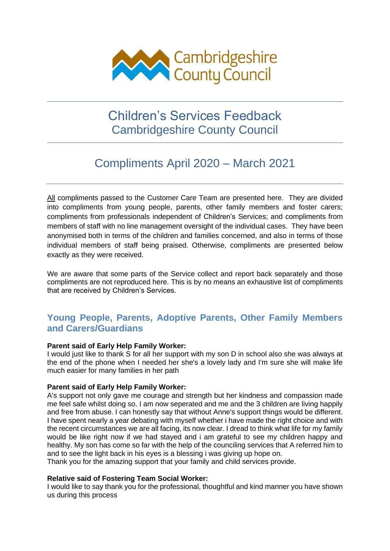

# Children's Services Feedback Cambridgeshire County Council

# Compliments April 2020 – March 2021

All compliments passed to the Customer Care Team are presented here. They are divided into compliments from young people, parents, other family members and foster carers; compliments from professionals independent of Children's Services; and compliments from members of staff with no line management oversight of the individual cases. They have been anonymised both in terms of the children and families concerned, and also in terms of those individual members of staff being praised. Otherwise, compliments are presented below exactly as they were received.

We are aware that some parts of the Service collect and report back separately and those compliments are not reproduced here. This is by no means an exhaustive list of compliments that are received by Children's Services.

# **Young People, Parents, Adoptive Parents, Other Family Members and Carers/Guardians**

# **Parent said of Early Help Family Worker:**

I would just like to thank S for all her support with my son D in school also she was always at the end of the phone when I needed her she's a lovely lady and I'm sure she will make life much easier for many families in her path

# **Parent said of Early Help Family Worker:**

A's support not only gave me courage and strength but her kindness and compassion made me feel safe whilst doing so. I am now seperated and me and the 3 children are living happily and free from abuse. I can honestly say that without Anne's support things would be different. I have spent nearly a year debating with myself whether i have made the right choice and with the recent circumstances we are all facing, its now clear. I dread to think what life for my family would be like right now if we had stayed and i am grateful to see my children happy and healthy. My son has come so far with the help of the counciling services that A referred him to and to see the light back in his eyes is a blessing i was giving up hope on.

Thank you for the amazing support that your family and child services provide.

# **Relative said of Fostering Team Social Worker:**

I would like to say thank you for the professional, thoughtful and kind manner you have shown us during this process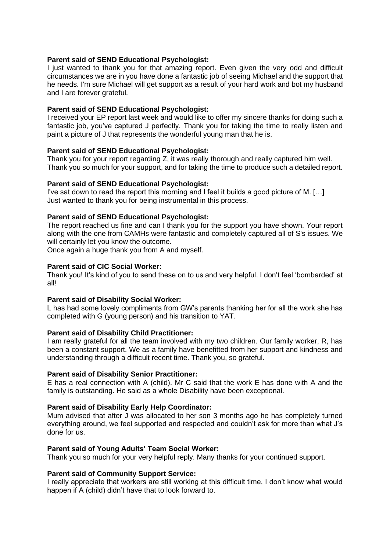# **Parent said of SEND Educational Psychologist:**

I just wanted to thank you for that amazing report. Even given the very odd and difficult circumstances we are in you have done a fantastic job of seeing Michael and the support that he needs. I'm sure Michael will get support as a result of your hard work and bot my husband and I are forever grateful.

# **Parent said of SEND Educational Psychologist:**

I received your EP report last week and would like to offer my sincere thanks for doing such a fantastic job, you've captured J perfectly. Thank you for taking the time to really listen and paint a picture of J that represents the wonderful young man that he is.

# **Parent said of SEND Educational Psychologist:**

Thank you for your report regarding Z, it was really thorough and really captured him well. Thank you so much for your support, and for taking the time to produce such a detailed report.

# **Parent said of SEND Educational Psychologist:**

I've sat down to read the report this morning and I feel it builds a good picture of M. […] Just wanted to thank you for being instrumental in this process.

# **Parent said of SEND Educational Psychologist:**

The report reached us fine and can I thank you for the support you have shown. Your report along with the one from CAMHs were fantastic and completely captured all of S's issues. We will certainly let you know the outcome.

Once again a huge thank you from A and myself.

#### **Parent said of CIC Social Worker:**

Thank you! It's kind of you to send these on to us and very helpful. I don't feel 'bombarded' at all!

#### **Parent said of Disability Social Worker:**

L has had some lovely compliments from GW's parents thanking her for all the work she has completed with G (young person) and his transition to YAT.

# **Parent said of Disability Child Practitioner:**

I am really grateful for all the team involved with my two children. Our family worker, R, has been a constant support. We as a family have benefitted from her support and kindness and understanding through a difficult recent time. Thank you, so grateful.

#### **Parent said of Disability Senior Practitioner:**

E has a real connection with A (child). Mr C said that the work E has done with A and the family is outstanding. He said as a whole Disability have been exceptional.

#### **Parent said of Disability Early Help Coordinator:**

Mum advised that after J was allocated to her son 3 months ago he has completely turned everything around, we feel supported and respected and couldn't ask for more than what J's done for us.

#### **Parent said of Young Adults' Team Social Worker:**

Thank you so much for your very helpful reply. Many thanks for your continued support.

#### **Parent said of Community Support Service:**

I really appreciate that workers are still working at this difficult time, I don't know what would happen if A (child) didn't have that to look forward to.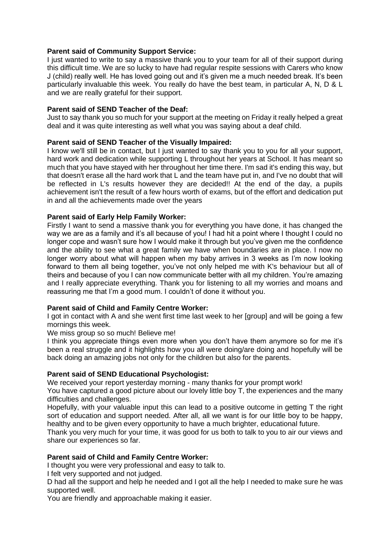# **Parent said of Community Support Service:**

I just wanted to write to say a massive thank you to your team for all of their support during this difficult time. We are so lucky to have had regular respite sessions with Carers who know J (child) really well. He has loved going out and it's given me a much needed break. It's been particularly invaluable this week. You really do have the best team, in particular A, N, D & L and we are really grateful for their support.

# **Parent said of SEND Teacher of the Deaf:**

Just to say thank you so much for your support at the meeting on Friday it really helped a great deal and it was quite interesting as well what you was saying about a deaf child.

# **Parent said of SEND Teacher of the Visually Impaired:**

I know we'll still be in contact, but I just wanted to say thank you to you for all your support, hard work and dedication while supporting L throughout her years at School. It has meant so much that you have stayed with her throughout her time there. I'm sad it's ending this way, but that doesn't erase all the hard work that L and the team have put in, and I've no doubt that will be reflected in L's results however they are decided!! At the end of the day, a pupils achievement isn't the result of a few hours worth of exams, but of the effort and dedication put in and all the achievements made over the years

# **Parent said of Early Help Family Worker:**

Firstly I want to send a massive thank you for everything you have done, it has changed the way we are as a family and it's all because of you! I had hit a point where I thought I could no longer cope and wasn't sure how I would make it through but you've given me the confidence and the ability to see what a great family we have when boundaries are in place. I now no longer worry about what will happen when my baby arrives in 3 weeks as I'm now looking forward to them all being together, you've not only helped me with K's behaviour but all of theirs and because of you I can now communicate better with all my children. You're amazing and I really appreciate everything. Thank you for listening to all my worries and moans and reassuring me that I'm a good mum. I couldn't of done it without you.

# **Parent said of Child and Family Centre Worker:**

I got in contact with A and she went first time last week to her [group] and will be going a few mornings this week.

We miss group so so much! Believe me!

I think you appreciate things even more when you don't have them anymore so for me it's been a real struggle and it highlights how you all were doing/are doing and hopefully will be back doing an amazing jobs not only for the children but also for the parents.

#### **Parent said of SEND Educational Psychologist:**

We received your report yesterday morning - many thanks for your prompt work!

You have captured a good picture about our lovely little boy T, the experiences and the many difficulties and challenges.

Hopefully, with your valuable input this can lead to a positive outcome in getting T the right sort of education and support needed. After all, all we want is for our little boy to be happy, healthy and to be given every opportunity to have a much brighter, educational future.

Thank you very much for your time, it was good for us both to talk to you to air our views and share our experiences so far.

# **Parent said of Child and Family Centre Worker:**

I thought you were very professional and easy to talk to.

I felt very supported and not judged.

D had all the support and help he needed and I got all the help I needed to make sure he was supported well.

You are friendly and approachable making it easier.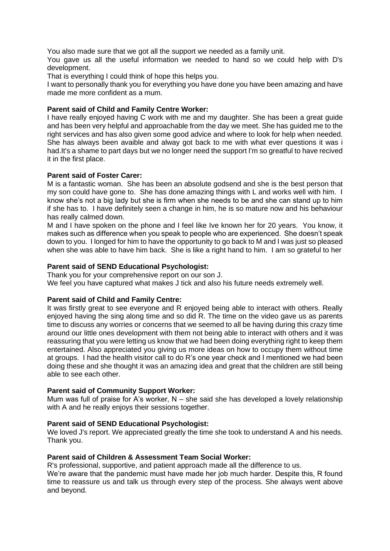You also made sure that we got all the support we needed as a family unit.

You gave us all the useful information we needed to hand so we could help with D's development.

That is everything I could think of hope this helps you.

I want to personally thank you for everything you have done you have been amazing and have made me more confident as a mum.

# **Parent said of Child and Family Centre Worker:**

I have really enjoyed having C work with me and my daughter. She has been a great guide and has been very helpful and approachable from the day we meet. She has guided me to the right services and has also given some good advice and where to look for help when needed. She has always been avaible and alway got back to me with what ever questions it was i had.It's a shame to part days but we no longer need the support I'm so greatful to have recived it in the first place.

#### **Parent said of Foster Carer:**

M is a fantastic woman. She has been an absolute godsend and she is the best person that my son could have gone to. She has done amazing things with L and works well with him. I know she's not a big lady but she is firm when she needs to be and she can stand up to him if she has to. I have definitely seen a change in him, he is so mature now and his behaviour has really calmed down.

M and I have spoken on the phone and I feel like Ive known her for 20 years. You know, it makes such as difference when you speak to people who are experienced. She doesn't speak down to you. I longed for him to have the opportunity to go back to M and I was just so pleased when she was able to have him back. She is like a right hand to him. I am so grateful to her

# **Parent said of SEND Educational Psychologist:**

Thank you for your comprehensive report on our son J.

We feel you have captured what makes J tick and also his future needs extremely well.

#### **Parent said of Child and Family Centre:**

It was firstly great to see everyone and R enjoyed being able to interact with others. Really enjoyed having the sing along time and so did R. The time on the video gave us as parents time to discuss any worries or concerns that we seemed to all be having during this crazy time around our little ones development with them not being able to interact with others and it was reassuring that you were letting us know that we had been doing everything right to keep them entertained. Also appreciated you giving us more ideas on how to occupy them without time at groups. I had the health visitor call to do R's one year check and I mentioned we had been doing these and she thought it was an amazing idea and great that the children are still being able to see each other.

#### **Parent said of Community Support Worker:**

Mum was full of praise for A's worker,  $N - s$ he said she has developed a lovely relationship with A and he really enjoys their sessions together.

# **Parent said of SEND Educational Psychologist:**

We loved J's report. We appreciated greatly the time she took to understand A and his needs. Thank you.

#### **Parent said of Children & Assessment Team Social Worker:**

R's professional, supportive, and patient approach made all the difference to us.

We're aware that the pandemic must have made her job much harder. Despite this, R found time to reassure us and talk us through every step of the process. She always went above and beyond.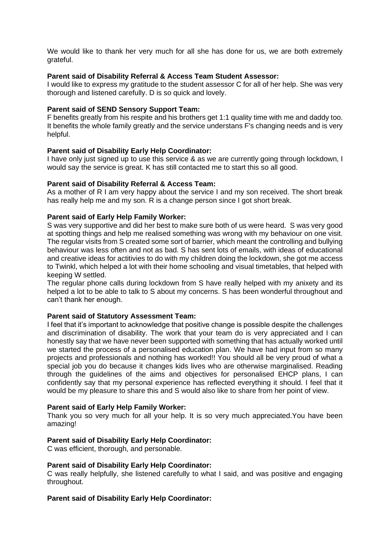We would like to thank her very much for all she has done for us, we are both extremely grateful.

# **Parent said of Disability Referral & Access Team Student Assessor:**

I would like to express my gratitude to the student assessor C for all of her help. She was very thorough and listened carefully. D is so quick and lovely.

#### **Parent said of SEND Sensory Support Team:**

F benefits greatly from his respite and his brothers get 1:1 quality time with me and daddy too. It benefits the whole family greatly and the service understans F's changing needs and is very helpful.

# **Parent said of Disability Early Help Coordinator:**

I have only just signed up to use this service & as we are currently going through lockdown, I would say the service is great. K has still contacted me to start this so all good.

# **Parent said of Disability Referral & Access Team:**

As a mother of R I am very happy about the service I and my son received. The short break has really help me and my son. R is a change person since I got short break.

# **Parent said of Early Help Family Worker:**

S was very supportive and did her best to make sure both of us were heard. S was very good at spotting things and help me realised something was wrong with my behaviour on one visit. The regular visits from S created some sort of barrier, which meant the controlling and bullying behaviour was less often and not as bad. S has sent lots of emails, with ideas of educational and creative ideas for actitivies to do with my children doing the lockdown, she got me access to Twinkl, which helped a lot with their home schooling and visual timetables, that helped with keeping W settled.

The regular phone calls during lockdown from S have really helped with my anixety and its helped a lot to be able to talk to S about my concerns. S has been wonderful throughout and can't thank her enough.

#### **Parent said of Statutory Assessment Team:**

I feel that it's important to acknowledge that positive change is possible despite the challenges and discrimination of disability. The work that your team do is very appreciated and I can honestly say that we have never been supported with something that has actually worked until we started the process of a personalised education plan. We have had input from so many projects and professionals and nothing has worked!! You should all be very proud of what a special job you do because it changes kids lives who are otherwise marginalised. Reading through the guidelines of the aims and objectives for personalised EHCP plans, I can confidently say that my personal experience has reflected everything it should. I feel that it would be my pleasure to share this and S would also like to share from her point of view.

#### **Parent said of Early Help Family Worker:**

Thank you so very much for all your help. It is so very much appreciated.You have been amazing!

#### **Parent said of Disability Early Help Coordinator:**

C was efficient, thorough, and personable.

#### **Parent said of Disability Early Help Coordinator:**

C was really helpfully, she listened carefully to what I said, and was positive and engaging throughout.

#### **Parent said of Disability Early Help Coordinator:**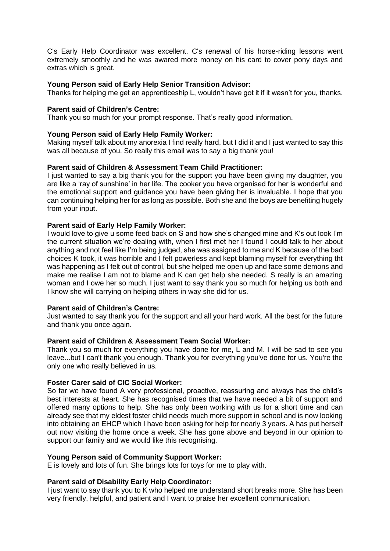C's Early Help Coordinator was excellent. C's renewal of his horse-riding lessons went extremely smoothly and he was awared more money on his card to cover pony days and extras which is great.

# **Young Person said of Early Help Senior Transition Advisor:**

Thanks for helping me get an apprenticeship L, wouldn't have got it if it wasn't for you, thanks.

# **Parent said of Children's Centre:**

Thank you so much for your prompt response. That's really good information.

#### **Young Person said of Early Help Family Worker:**

Making myself talk about my anorexia I find really hard, but I did it and I just wanted to say this was all because of you. So really this email was to say a big thank you!

# **Parent said of Children & Assessment Team Child Practitioner:**

I just wanted to say a big thank you for the support you have been giving my daughter, you are like a 'ray of sunshine' in her life. The cooker you have organised for her is wonderful and the emotional support and guidance you have been giving her is invaluable. I hope that you can continuing helping her for as long as possible. Both she and the boys are benefiting hugely from your input.

# **Parent said of Early Help Family Worker:**

I would love to give u some feed back on S and how she's changed mine and K's out look I'm the current situation we're dealing with, when I first met her I found I could talk to her about anything and not feel like I'm being judged, she was assigned to me and K because of the bad choices K took, it was horrible and I felt powerless and kept blaming myself for everything tht was happening as I felt out of control, but she helped me open up and face some demons and make me realise I am not to blame and K can get help she needed. S really is an amazing woman and I owe her so much. I just want to say thank you so much for helping us both and I know she will carrying on helping others in way she did for us.

#### **Parent said of Children's Centre:**

Just wanted to say thank you for the support and all your hard work. All the best for the future and thank you once again.

# **Parent said of Children & Assessment Team Social Worker:**

Thank you so much for everything you have done for me, L and M. I will be sad to see you leave...but I can't thank you enough. Thank you for everything you've done for us. You're the only one who really believed in us.

# **Foster Carer said of CIC Social Worker:**

So far we have found A very professional, proactive, reassuring and always has the child's best interests at heart. She has recognised times that we have needed a bit of support and offered many options to help. She has only been working with us for a short time and can already see that my eldest foster child needs much more support in school and is now looking into obtaining an EHCP which I have been asking for help for nearly 3 years. A has put herself out now visiting the home once a week. She has gone above and beyond in our opinion to support our family and we would like this recognising.

#### **Young Person said of Community Support Worker:**

E is lovely and lots of fun. She brings lots for toys for me to play with.

#### **Parent said of Disability Early Help Coordinator:**

I just want to say thank you to K who helped me understand short breaks more. She has been very friendly, helpful, and patient and I want to praise her excellent communication.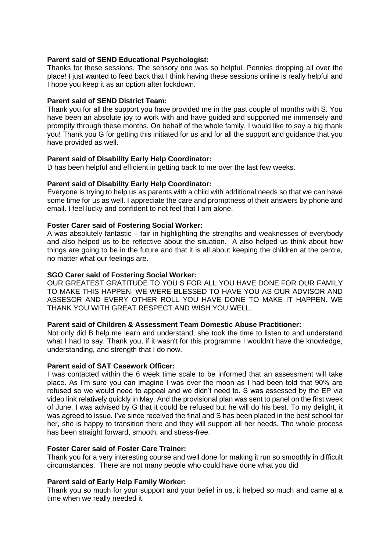# **Parent said of SEND Educational Psychologist:**

Thanks for these sessions. The sensory one was so helpful. Pennies dropping all over the place! I just wanted to feed back that I think having these sessions online is really helpful and I hope you keep it as an option after lockdown.

#### **Parent said of SEND District Team:**

Thank you for all the support you have provided me in the past couple of months with S. You have been an absolute joy to work with and have guided and supported me immensely and promptly through these months. On behalf of the whole family, I would like to say a big thank you! Thank you G for getting this initiated for us and for all the support and guidance that you have provided as well.

# **Parent said of Disability Early Help Coordinator:**

D has been helpful and efficient in getting back to me over the last few weeks.

# **Parent said of Disability Early Help Coordinator:**

Everyone is trying to help us as parents with a child with additional needs so that we can have some time for us as well. I appreciate the care and promptness of their answers by phone and email. I feel lucky and confident to not feel that I am alone.

# **Foster Carer said of Fostering Social Worker:**

A was absolutely fantastic – fair in highlighting the strengths and weaknesses of everybody and also helped us to be reflective about the situation. A also helped us think about how things are going to be in the future and that it is all about keeping the children at the centre, no matter what our feelings are.

#### **SGO Carer said of Fostering Social Worker:**

OUR GREATEST GRATITUDE TO YOU S FOR ALL YOU HAVE DONE FOR OUR FAMILY TO MAKE THIS HAPPEN, WE WERE BLESSED TO HAVE YOU AS OUR ADVISOR AND ASSESOR AND EVERY OTHER ROLL YOU HAVE DONE TO MAKE IT HAPPEN. WE THANK YOU WITH GREAT RESPECT AND WISH YOU WELL.

#### **Parent said of Children & Assessment Team Domestic Abuse Practitioner:**

Not only did B help me learn and understand, she took the time to listen to and understand what I had to say. Thank you, if it wasn't for this programme I wouldn't have the knowledge, understanding, and strength that I do now.

#### **Parent said of SAT Casework Officer:**

I was contacted within the 6 week time scale to be informed that an assessment will take place. As I'm sure you can imagine I was over the moon as I had been told that 90% are refused so we would need to appeal and we didn't need to. S was assessed by the EP via video link relatively quickly in May. And the provisional plan was sent to panel on the first week of June. I was advised by G that it could be refused but he will do his best. To my delight, it was agreed to issue. I've since received the final and S has been placed in the best school for her, she is happy to transition there and they will support all her needs. The whole process has been straight forward, smooth, and stress-free.

#### **Foster Carer said of Foster Care Trainer:**

Thank you for a very interesting course and well done for making it run so smoothly in difficult circumstances. There are not many people who could have done what you did

#### **Parent said of Early Help Family Worker:**

Thank you so much for your support and your belief in us, it helped so much and came at a time when we really needed it.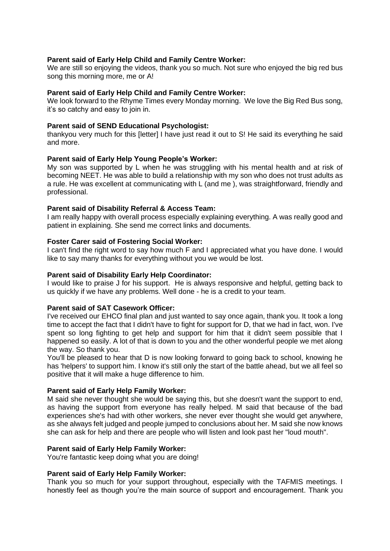# **Parent said of Early Help Child and Family Centre Worker:**

We are still so enjoying the videos, thank you so much. Not sure who enjoyed the big red bus song this morning more, me or A!

#### **Parent said of Early Help Child and Family Centre Worker:**

We look forward to the Rhyme Times every Monday morning. We love the Big Red Bus song, it's so catchy and easy to join in.

#### **Parent said of SEND Educational Psychologist:**

thankyou very much for this [letter] I have just read it out to S! He said its everything he said and more.

# **Parent said of Early Help Young People's Worker:**

My son was supported by L when he was struggling with his mental health and at risk of becoming NEET. He was able to build a relationship with my son who does not trust adults as a rule. He was excellent at communicating with L (and me ), was straightforward, friendly and professional.

# **Parent said of Disability Referral & Access Team:**

I am really happy with overall process especially explaining everything. A was really good and patient in explaining. She send me correct links and documents.

# **Foster Carer said of Fostering Social Worker:**

I can't find the right word to say how much F and I appreciated what you have done. I would like to say many thanks for everything without you we would be lost.

# **Parent said of Disability Early Help Coordinator:**

I would like to praise J for his support. He is always responsive and helpful, getting back to us quickly if we have any problems. Well done - he is a credit to your team.

# **Parent said of SAT Casework Officer:**

I've received our EHCO final plan and just wanted to say once again, thank you. It took a long time to accept the fact that I didn't have to fight for support for D, that we had in fact, won. I've spent so long fighting to get help and support for him that it didn't seem possible that I happened so easily. A lot of that is down to you and the other wonderful people we met along the way. So thank you.

You'll be pleased to hear that D is now looking forward to going back to school, knowing he has 'helpers' to support him. I know it's still only the start of the battle ahead, but we all feel so positive that it will make a huge difference to him.

#### **Parent said of Early Help Family Worker:**

M said she never thought she would be saying this, but she doesn't want the support to end, as having the support from everyone has really helped. M said that because of the bad experiences she's had with other workers, she never ever thought she would get anywhere, as she always felt judged and people jumped to conclusions about her. M said she now knows she can ask for help and there are people who will listen and look past her "loud mouth".

#### **Parent said of Early Help Family Worker:**

You're fantastic keep doing what you are doing!

#### **Parent said of Early Help Family Worker:**

Thank you so much for your support throughout, especially with the TAFMIS meetings. I honestly feel as though you're the main source of support and encouragement. Thank you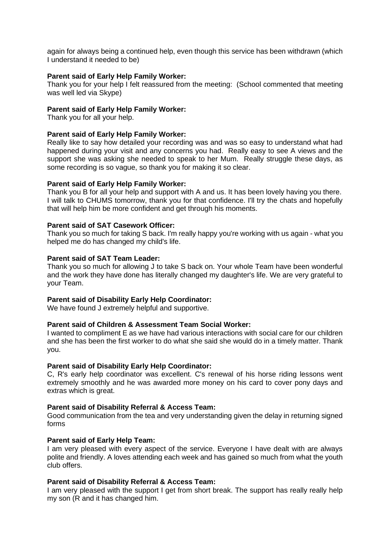again for always being a continued help, even though this service has been withdrawn (which I understand it needed to be)

#### **Parent said of Early Help Family Worker:**

Thank you for your help I felt reassured from the meeting: (School commented that meeting was well led via Skype)

#### **Parent said of Early Help Family Worker:**

Thank you for all your help.

#### **Parent said of Early Help Family Worker:**

Really like to say how detailed your recording was and was so easy to understand what had happened during your visit and any concerns you had. Really easy to see A views and the support she was asking she needed to speak to her Mum. Really struggle these days, as some recording is so vague, so thank you for making it so clear.

#### **Parent said of Early Help Family Worker:**

Thank you B for all your help and support with A and us. It has been lovely having you there. I will talk to CHUMS tomorrow, thank you for that confidence. I'll try the chats and hopefully that will help him be more confident and get through his moments.

#### **Parent said of SAT Casework Officer:**

Thank you so much for taking S back. I'm really happy you're working with us again - what you helped me do has changed my child's life.

#### **Parent said of SAT Team Leader:**

Thank you so much for allowing J to take S back on. Your whole Team have been wonderful and the work they have done has literally changed my daughter's life. We are very grateful to your Team.

#### **Parent said of Disability Early Help Coordinator:**

We have found J extremely helpful and supportive.

#### **Parent said of Children & Assessment Team Social Worker:**

I wanted to compliment E as we have had various interactions with social care for our children and she has been the first worker to do what she said she would do in a timely matter. Thank you.

#### **Parent said of Disability Early Help Coordinator:**

C, R's early help coordinator was excellent. C's renewal of his horse riding lessons went extremely smoothly and he was awarded more money on his card to cover pony days and extras which is great.

#### **Parent said of Disability Referral & Access Team:**

Good communication from the tea and very understanding given the delay in returning signed forms

#### **Parent said of Early Help Team:**

I am very pleased with every aspect of the service. Everyone I have dealt with are always polite and friendly. A loves attending each week and has gained so much from what the youth club offers.

#### **Parent said of Disability Referral & Access Team:**

I am very pleased with the support I get from short break. The support has really really help my son (R and it has changed him.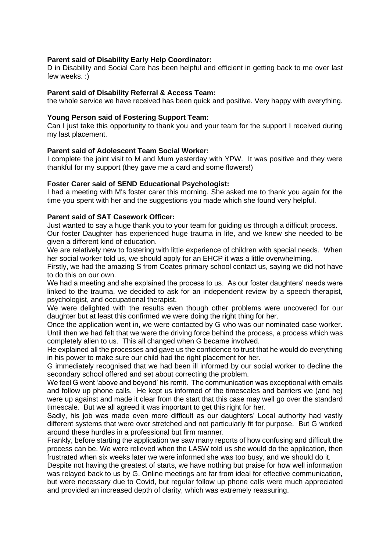# **Parent said of Disability Early Help Coordinator:**

D in Disability and Social Care has been helpful and efficient in getting back to me over last few weeks. :)

#### **Parent said of Disability Referral & Access Team:**

the whole service we have received has been quick and positive. Very happy with everything.

#### **Young Person said of Fostering Support Team:**

Can I just take this opportunity to thank you and your team for the support I received during my last placement.

#### **Parent said of Adolescent Team Social Worker:**

I complete the joint visit to M and Mum yesterday with YPW. It was positive and they were thankful for my support (they gave me a card and some flowers!)

#### **Foster Carer said of SEND Educational Psychologist:**

I had a meeting with M's foster carer this morning. She asked me to thank you again for the time you spent with her and the suggestions you made which she found very helpful.

#### **Parent said of SAT Casework Officer:**

Just wanted to say a huge thank you to your team for guiding us through a difficult process. Our foster Daughter has experienced huge trauma in life, and we knew she needed to be given a different kind of education.

We are relatively new to fostering with little experience of children with special needs. When her social worker told us, we should apply for an EHCP it was a little overwhelming.

Firstly, we had the amazing S from Coates primary school contact us, saying we did not have to do this on our own.

We had a meeting and she explained the process to us. As our foster daughters' needs were linked to the trauma, we decided to ask for an independent review by a speech therapist, psychologist, and occupational therapist.

We were delighted with the results even though other problems were uncovered for our daughter but at least this confirmed we were doing the right thing for her.

Once the application went in, we were contacted by G who was our nominated case worker. Until then we had felt that we were the driving force behind the process, a process which was completely alien to us. This all changed when G became involved.

He explained all the processes and gave us the confidence to trust that he would do everything in his power to make sure our child had the right placement for her.

G immediately recognised that we had been ill informed by our social worker to decline the secondary school offered and set about correcting the problem.

We feel G went 'above and beyond' his remit. The communication was exceptional with emails and follow up phone calls. He kept us informed of the timescales and barriers we (and he) were up against and made it clear from the start that this case may well go over the standard timescale. But we all agreed it was important to get this right for her.

Sadly, his job was made even more difficult as our daughters' Local authority had vastly different systems that were over stretched and not particularly fit for purpose. But G worked around these hurdles in a professional but firm manner.

Frankly, before starting the application we saw many reports of how confusing and difficult the process can be. We were relieved when the LASW told us she would do the application, then frustrated when six weeks later we were informed she was too busy, and we should do it.

Despite not having the greatest of starts, we have nothing but praise for how well information was relayed back to us by G. Online meetings are far from ideal for effective communication, but were necessary due to Covid, but regular follow up phone calls were much appreciated and provided an increased depth of clarity, which was extremely reassuring.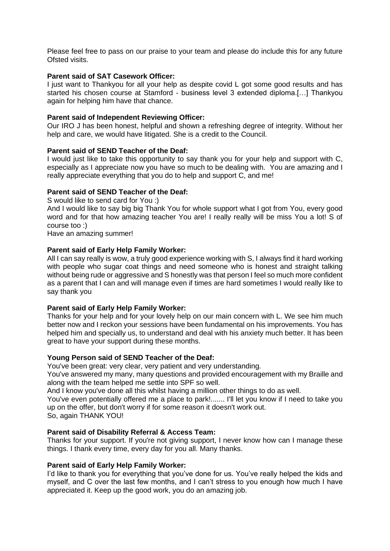Please feel free to pass on our praise to your team and please do include this for any future Ofsted visits.

#### **Parent said of SAT Casework Officer:**

I just want to Thankyou for all your help as despite covid L got some good results and has started his chosen course at Stamford - business level 3 extended diploma.[…] Thankyou again for helping him have that chance.

# **Parent said of Independent Reviewing Officer:**

Our IRO J has been honest, helpful and shown a refreshing degree of integrity. Without her help and care, we would have litigated. She is a credit to the Council.

# **Parent said of SEND Teacher of the Deaf:**

I would just like to take this opportunity to say thank you for your help and support with C, especially as I appreciate now you have so much to be dealing with. You are amazing and I really appreciate everything that you do to help and support C, and me!

# **Parent said of SEND Teacher of the Deaf:**

S would like to send card for You :)

And I would like to say big big Thank You for whole support what I got from You, every good word and for that how amazing teacher You are! I really really will be miss You a lot! S of course too :)

Have an amazing summer!

# **Parent said of Early Help Family Worker:**

All I can say really is wow, a truly good experience working with S, I always find it hard working with people who sugar coat things and need someone who is honest and straight talking without being rude or aggressive and S honestly was that person I feel so much more confident as a parent that I can and will manage even if times are hard sometimes I would really like to say thank you

# **Parent said of Early Help Family Worker:**

Thanks for your help and for your lovely help on our main concern with L. We see him much better now and I reckon your sessions have been fundamental on his improvements. You has helped him and specially us, to understand and deal with his anxiety much better. It has been great to have your support during these months.

#### **Young Person said of SEND Teacher of the Deaf:**

You've been great: very clear, very patient and very understanding.

You've answered my many, many questions and provided encouragement with my Braille and along with the team helped me settle into SPF so well.

And I know you've done all this whilst having a million other things to do as well.

You've even potentially offered me a place to park!....... I'll let you know if I need to take you up on the offer, but don't worry if for some reason it doesn't work out.

So, again THANK YOU!

# **Parent said of Disability Referral & Access Team:**

Thanks for your support. If you're not giving support, I never know how can I manage these things. I thank every time, every day for you all. Many thanks.

#### **Parent said of Early Help Family Worker:**

I'd like to thank you for everything that you've done for us. You've really helped the kids and myself, and C over the last few months, and I can't stress to you enough how much I have appreciated it. Keep up the good work, you do an amazing job.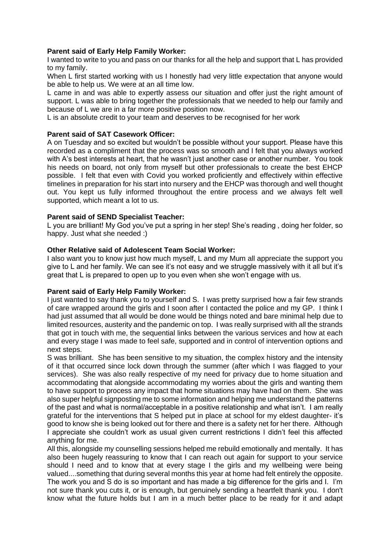# **Parent said of Early Help Family Worker:**

I wanted to write to you and pass on our thanks for all the help and support that L has provided to my family.

When L first started working with us I honestly had very little expectation that anyone would be able to help us. We were at an all time low.

L came in and was able to expertly assess our situation and offer just the right amount of support. L was able to bring together the professionals that we needed to help our family and because of L we are in a far more positive position now.

L is an absolute credit to your team and deserves to be recognised for her work

# **Parent said of SAT Casework Officer:**

A on Tuesday and so excited but wouldn't be possible without your support. Please have this recorded as a compliment that the process was so smooth and I felt that you always worked with A's best interests at heart, that he wasn't just another case or another number. You took his needs on board, not only from myself but other professionals to create the best EHCP possible. I felt that even with Covid you worked proficiently and effectively within effective timelines in preparation for his start into nursery and the EHCP was thorough and well thought out. You kept us fully informed throughout the entire process and we always felt well supported, which meant a lot to us.

# **Parent said of SEND Specialist Teacher:**

L you are brilliant! My God you've put a spring in her step! She's reading , doing her folder, so happy. Just what she needed :)

# **Other Relative said of Adolescent Team Social Worker:**

I also want you to know just how much myself, L and my Mum all appreciate the support you give to L and her family. We can see it's not easy and we struggle massively with it all but it's great that L is prepared to open up to you even when she won't engage with us.

# **Parent said of Early Help Family Worker:**

I just wanted to say thank you to yourself and S. I was pretty surprised how a fair few strands of care wrapped around the girls and I soon after I contacted the police and my GP. I think I had just assumed that all would be done would be things noted and bare minimal help due to limited resources, austerity and the pandemic on top. I was really surprised with all the strands that got in touch with me, the sequential links between the various services and how at each and every stage I was made to feel safe, supported and in control of intervention options and next steps.

S was brilliant. She has been sensitive to my situation, the complex history and the intensity of it that occurred since lock down through the summer (after which I was flagged to your services). She was also really respective of my need for privacy due to home situation and accommodating that alongside accommodating my worries about the girls and wanting them to have support to process any impact that home situations may have had on them. She was also super helpful signposting me to some information and helping me understand the patterns of the past and what is normal/acceptable in a positive relationship and what isn't. I am really grateful for the interventions that S helped put in place at school for my eldest daughter- it's good to know she is being looked out for there and there is a safety net for her there. Although I appreciate she couldn't work as usual given current restrictions I didn't feel this affected anything for me.

All this, alongside my counselling sessions helped me rebuild emotionally and mentally. It has also been hugely reassuring to know that I can reach out again for support to your service should I need and to know that at every stage I the girls and my wellbeing were being valued....something that during several months this year at home had felt entirely the opposite. The work you and S do is so important and has made a big difference for the girls and I. I'm not sure thank you cuts it, or is enough, but genuinely sending a heartfelt thank you. I don't know what the future holds but I am in a much better place to be ready for it and adapt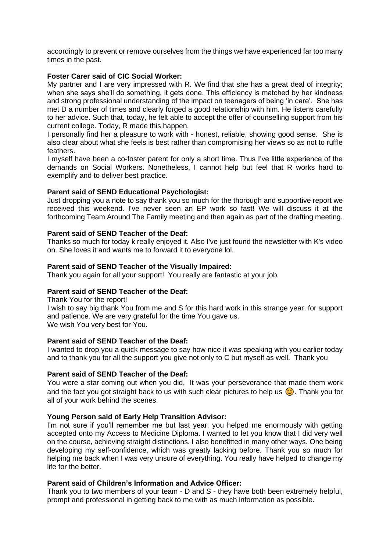accordingly to prevent or remove ourselves from the things we have experienced far too many times in the past.

# **Foster Carer said of CIC Social Worker:**

My partner and I are very impressed with R. We find that she has a great deal of integrity; when she says she'll do something, it gets done. This efficiency is matched by her kindness and strong professional understanding of the impact on teenagers of being 'in care'. She has met D a number of times and clearly forged a good relationship with him. He listens carefully to her advice. Such that, today, he felt able to accept the offer of counselling support from his current college. Today, R made this happen.

I personally find her a pleasure to work with - honest, reliable, showing good sense. She is also clear about what she feels is best rather than compromising her views so as not to ruffle feathers.

I myself have been a co-foster parent for only a short time. Thus I've little experience of the demands on Social Workers. Nonetheless, I cannot help but feel that R works hard to exemplify and to deliver best practice.

# **Parent said of SEND Educational Psychologist:**

Just dropping you a note to say thank you so much for the thorough and supportive report we received this weekend. I've never seen an EP work so fast! We will discuss it at the forthcoming Team Around The Family meeting and then again as part of the drafting meeting.

# **Parent said of SEND Teacher of the Deaf:**

Thanks so much for today k really enjoyed it. Also I've just found the newsletter with K's video on. She loves it and wants me to forward it to everyone lol.

# **Parent said of SEND Teacher of the Visually Impaired:**

Thank you again for all your support! You really are fantastic at your job.

# **Parent said of SEND Teacher of the Deaf:**

Thank You for the report!

I wish to say big thank You from me and S for this hard work in this strange year, for support and patience. We are very grateful for the time You gave us. We wish You very best for You.

# **Parent said of SEND Teacher of the Deaf:**

I wanted to drop you a quick message to say how nice it was speaking with you earlier today and to thank you for all the support you give not only to C but myself as well. Thank you

# **Parent said of SEND Teacher of the Deaf:**

You were a star coming out when you did, It was your perseverance that made them work and the fact you got straight back to us with such clear pictures to help us  $\odot$ . Thank you for all of your work behind the scenes.

#### **Young Person said of Early Help Transition Advisor:**

I'm not sure if you'll remember me but last year, you helped me enormously with getting accepted onto my Access to Medicine Diploma. I wanted to let you know that I did very well on the course, achieving straight distinctions. I also benefitted in many other ways. One being developing my self-confidence, which was greatly lacking before. Thank you so much for helping me back when I was very unsure of everything. You really have helped to change my life for the better.

#### **Parent said of Children's Information and Advice Officer:**

Thank you to two members of your team - D and S - they have both been extremely helpful, prompt and professional in getting back to me with as much information as possible.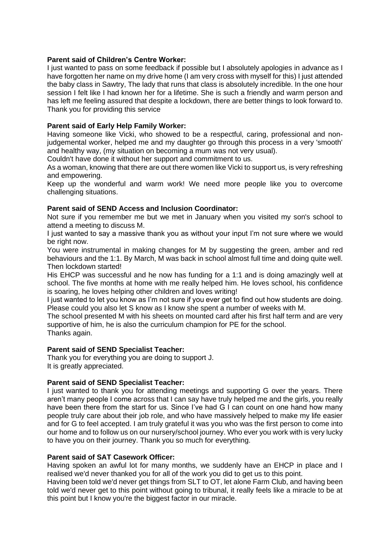# **Parent said of Children's Centre Worker:**

I just wanted to pass on some feedback if possible but I absolutely apologies in advance as I have forgotten her name on my drive home (I am very cross with myself for this) I just attended the baby class in Sawtry, The lady that runs that class is absolutely incredible. In the one hour session I felt like I had known her for a lifetime. She is such a friendly and warm person and has left me feeling assured that despite a lockdown, there are better things to look forward to. Thank you for providing this service

# **Parent said of Early Help Family Worker:**

Having someone like Vicki, who showed to be a respectful, caring, professional and nonjudgemental worker, helped me and my daughter go through this process in a very 'smooth' and healthy way, (my situation on becoming a mum was not very usual).

Couldn't have done it without her support and commitment to us.

As a woman, knowing that there are out there women like Vicki to support us, is very refreshing and empowering.

Keep up the wonderful and warm work! We need more people like you to overcome challenging situations.

# **Parent said of SEND Access and Inclusion Coordinator:**

Not sure if you remember me but we met in January when you visited my son's school to attend a meeting to discuss M.

I just wanted to say a massive thank you as without your input I'm not sure where we would be right now.

You were instrumental in making changes for M by suggesting the green, amber and red behaviours and the 1:1. By March, M was back in school almost full time and doing quite well. Then lockdown started!

His EHCP was successful and he now has funding for a 1:1 and is doing amazingly well at school. The five months at home with me really helped him. He loves school, his confidence is soaring, he loves helping other children and loves writing!

I just wanted to let you know as I'm not sure if you ever get to find out how students are doing. Please could you also let S know as I know she spent a number of weeks with M.

The school presented M with his sheets on mounted card after his first half term and are very supportive of him, he is also the curriculum champion for PE for the school. Thanks again.

# **Parent said of SEND Specialist Teacher:**

Thank you for everything you are doing to support J. It is greatly appreciated.

# **Parent said of SEND Specialist Teacher:**

I just wanted to thank you for attending meetings and supporting G over the years. There aren't many people I come across that I can say have truly helped me and the girls, you really have been there from the start for us. Since I've had G I can count on one hand how many people truly care about their job role, and who have massively helped to make my life easier and for G to feel accepted. I am truly grateful it was you who was the first person to come into our home and to follow us on our nursery/school journey. Who ever you work with is very lucky to have you on their journey. Thank you so much for everything.

#### **Parent said of SAT Casework Officer:**

Having spoken an awful lot for many months, we suddenly have an EHCP in place and I realised we'd never thanked you for all of the work you did to get us to this point.

Having been told we'd never get things from SLT to OT, let alone Farm Club, and having been told we'd never get to this point without going to tribunal, it really feels like a miracle to be at this point but I know you're the biggest factor in our miracle.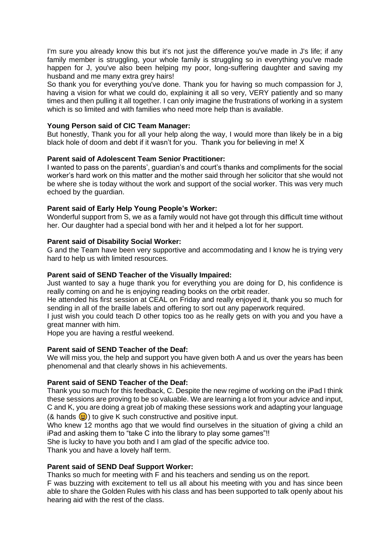I'm sure you already know this but it's not just the difference you've made in J's life; if any family member is struggling, your whole family is struggling so in everything you've made happen for J, you've also been helping my poor, long-suffering daughter and saving my husband and me many extra grey hairs!

So thank you for everything you've done. Thank you for having so much compassion for J. having a vision for what we could do, explaining it all so very, VERY patiently and so many times and then pulling it all together. I can only imagine the frustrations of working in a system which is so limited and with families who need more help than is available.

# **Young Person said of CIC Team Manager:**

But honestly, Thank you for all your help along the way, I would more than likely be in a big black hole of doom and debt if it wasn't for you. Thank you for believing in me! X

# **Parent said of Adolescent Team Senior Practitioner:**

I wanted to pass on the parents', guardian's and court's thanks and compliments for the social worker's hard work on this matter and the mother said through her solicitor that she would not be where she is today without the work and support of the social worker. This was very much echoed by the guardian.

# **Parent said of Early Help Young People's Worker:**

Wonderful support from S, we as a family would not have got through this difficult time without her. Our daughter had a special bond with her and it helped a lot for her support.

# **Parent said of Disability Social Worker:**

G and the Team have been very supportive and accommodating and I know he is trying very hard to help us with limited resources.

# **Parent said of SEND Teacher of the Visually Impaired:**

Just wanted to say a huge thank you for everything you are doing for D, his confidence is really coming on and he is enjoying reading books on the orbit reader.

He attended his first session at CEAL on Friday and really enjoyed it, thank you so much for sending in all of the braille labels and offering to sort out any paperwork required.

I just wish you could teach D other topics too as he really gets on with you and you have a great manner with him.

Hope you are having a restful weekend.

#### **Parent said of SEND Teacher of the Deaf:**

We will miss you, the help and support you have given both A and us over the years has been phenomenal and that clearly shows in his achievements.

# **Parent said of SEND Teacher of the Deaf:**

Thank you so much for this feedback, C. Despite the new regime of working on the iPad I think these sessions are proving to be so valuable. We are learning a lot from your advice and input, C and K, you are doing a great job of making these sessions work and adapting your language  $(8 \text{ hands } \textcircled{k})$  to give K such constructive and positive input.

Who knew 12 months ago that we would find ourselves in the situation of giving a child an iPad and asking them to "take C into the library to play some games"!!

She is lucky to have you both and I am glad of the specific advice too.

Thank you and have a lovely half term.

#### **Parent said of SEND Deaf Support Worker:**

Thanks so much for meeting with F and his teachers and sending us on the report.

F was buzzing with excitement to tell us all about his meeting with you and has since been able to share the Golden Rules with his class and has been supported to talk openly about his hearing aid with the rest of the class.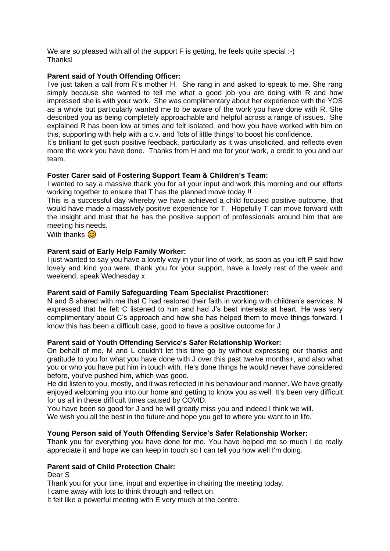We are so pleased with all of the support F is getting, he feels quite special :-) Thanks!

# **Parent said of Youth Offending Officer:**

I've just taken a call from R's mother H. She rang in and asked to speak to me. She rang simply because she wanted to tell me what a good job you are doing with R and how impressed she is with your work. She was complimentary about her experience with the YOS as a whole but particularly wanted me to be aware of the work you have done with R. She described you as being completely approachable and helpful across a range of issues. She explained R has been low at times and felt isolated, and how you have worked with him on this, supporting with help with a c.v. and 'lots of little things' to boost his confidence.

It's brilliant to get such positive feedback, particularly as it was unsolicited, and reflects even more the work you have done. Thanks from H and me for your work, a credit to you and our team.

# **Foster Carer said of Fostering Support Team & Children's Team:**

I wanted to say a massive thank you for all your input and work this morning and our efforts working together to ensure that T has the planned move today !!

This is a successful day whereby we have achieved a child focused positive outcome, that would have made a massively positive experience for T. Hopefully T can move forward with the insight and trust that he has the positive support of professionals around him that are meeting his needs.

With thanks  $\odot$ 

# **Parent said of Early Help Family Worker:**

I just wanted to say you have a lovely way in your line of work, as soon as you left P said how lovely and kind you were, thank you for your support, have a lovely rest of the week and weekend, speak Wednesday x

#### **Parent said of Family Safeguarding Team Specialist Practitioner:**

N and S shared with me that C had restored their faith in working with children's services. N expressed that he felt C listened to him and had J's best interests at heart. He was very complimentary about C's approach and how she has helped them to move things forward. I know this has been a difficult case, good to have a positive outcome for J.

#### **Parent said of Youth Offending Service's Safer Relationship Worker:**

On behalf of me, M and L couldn't let this time go by without expressing our thanks and gratitude to you for what you have done with J over this past twelve months+, and also what you or who you have put him in touch with. He's done things he would never have considered before, you've pushed him, which was good.

He did listen to you, mostly, and it was reflected in his behaviour and manner. We have greatly enjoyed welcoming you into our home and getting to know you as well. It's been very difficult for us all in these difficult times caused by COVID.

You have been so good for J and he will greatly miss you and indeed I think we will.

We wish you all the best in the future and hope you get to where you want to in life.

# **Young Person said of Youth Offending Service's Safer Relationship Worker:**

Thank you for everything you have done for me. You have helped me so much I do really appreciate it and hope we can keep in touch so I can tell you how well I'm doing.

#### **Parent said of Child Protection Chair:**

Dear S

Thank you for your time, input and expertise in chairing the meeting today.

I came away with lots to think through and reflect on.

It felt like a powerful meeting with E very much at the centre.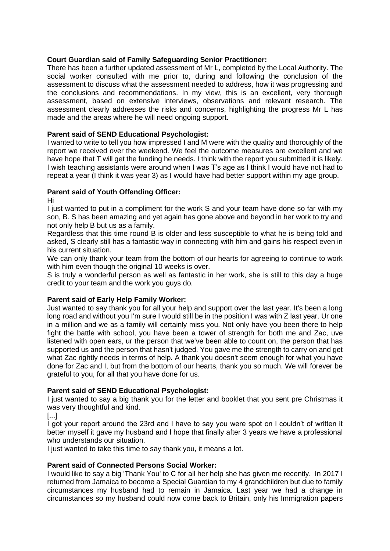# **Court Guardian said of Family Safeguarding Senior Practitioner:**

There has been a further updated assessment of Mr L, completed by the Local Authority. The social worker consulted with me prior to, during and following the conclusion of the assessment to discuss what the assessment needed to address, how it was progressing and the conclusions and recommendations. In my view, this is an excellent, very thorough assessment, based on extensive interviews, observations and relevant research. The assessment clearly addresses the risks and concerns, highlighting the progress Mr L has made and the areas where he will need ongoing support.

# **Parent said of SEND Educational Psychologist:**

I wanted to write to tell you how impressed I and M were with the quality and thoroughly of the report we received over the weekend. We feel the outcome measures are excellent and we have hope that T will get the funding he needs. I think with the report you submitted it is likely. I wish teaching assistants were around when I was T's age as I think I would have not had to repeat a year (I think it was year 3) as I would have had better support within my age group.

# **Parent said of Youth Offending Officer:**

Hi

I just wanted to put in a compliment for the work S and your team have done so far with my son, B. S has been amazing and yet again has gone above and beyond in her work to try and not only help B but us as a family.

Regardless that this time round B is older and less susceptible to what he is being told and asked, S clearly still has a fantastic way in connecting with him and gains his respect even in his current situation.

We can only thank your team from the bottom of our hearts for agreeing to continue to work with him even though the original 10 weeks is over.

S is truly a wonderful person as well as fantastic in her work, she is still to this day a huge credit to your team and the work you guys do.

# **Parent said of Early Help Family Worker:**

Just wanted to say thank you for all your help and support over the last year. It's been a long long road and without you I'm sure I would still be in the position I was with Z last year. Ur one in a million and we as a family will certainly miss you. Not only have you been there to help fight the battle with school, you have been a tower of strength for both me and Zac, uve listened with open ears, ur the person that we've been able to count on, the person that has supported us and the person that hasn't judged. You gave me the strength to carry on and get what Zac rightly needs in terms of help. A thank you doesn't seem enough for what you have done for Zac and I, but from the bottom of our hearts, thank you so much. We will forever be grateful to you, for all that you have done for us.

# **Parent said of SEND Educational Psychologist:**

I just wanted to say a big thank you for the letter and booklet that you sent pre Christmas it was very thoughtful and kind.

[...]

I got your report around the 23rd and l have to say you were spot on l couldn't of written it better myself it gave my husband and l hope that finally after 3 years we have a professional who understands our situation.

I just wanted to take this time to say thank you, it means a lot.

# **Parent said of Connected Persons Social Worker:**

I would like to say a big 'Thank You' to C for all her help she has given me recently. In 2017 I returned from Jamaica to become a Special Guardian to my 4 grandchildren but due to family circumstances my husband had to remain in Jamaica. Last year we had a change in circumstances so my husband could now come back to Britain, only his Immigration papers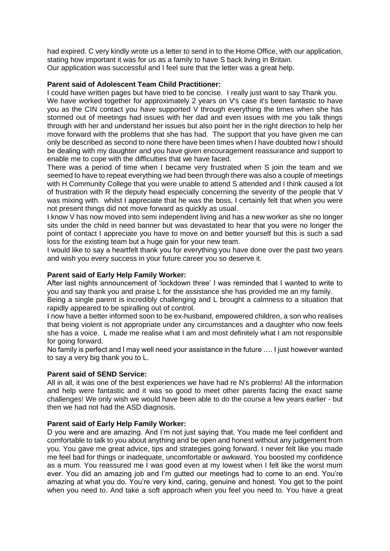had expired. C very kindly wrote us a letter to send in to the Home Office, with our application, stating how important it was for us as a family to have S back living in Britain. Our application was successful and I feel sure that the letter was a great help.

# **Parent said of Adolescent Team Child Practitioner:**

I could have written pages but have tried to be concise. I really just want to say Thank you.

We have worked together for approximately 2 years on V's case it's been fantastic to have you as the CIN contact you have supported V through everything the times when she has stormed out of meetings had issues with her dad and even issues with me you talk things through with her and understand her issues but also point her in the right direction to help her move forward with the problems that she has had. The support that you have given me can only be described as second to none there have been times when I have doubted how I should be dealing with my daughter and you have given encouragement reassurance and support to enable me to cope with the difficulties that we have faced.

There was a period of time when I became very frustrated when S join the team and we seemed to have to repeat everything we had been through there was also a couple of meetings with H Community College that you were unable to attend S attended and I think caused a lot of frustration with R the deputy head especially concerning the severity of the people that V was mixing with. whilst I appreciate that he was the boss, I certainly felt that when you were not present things did not move forward as quickly as usual.

I know V has now moved into semi independent living and has a new worker as she no longer sits under the child in need banner but was devastated to hear that you were no longer the point of contact I appreciate you have to move on and better yourself but this is such a sad loss for the existing team but a huge gain for your new team.

I would like to say a heartfelt thank you for everything you have done over the past two years and wish you every success in your future career you so deserve it.

#### **Parent said of Early Help Family Worker:**

After last nights announcement of 'lockdown three' I was reminded that I wanted to write to you and say thank you and praise L for the assistance she has provided me an my family.

Being a single parent is incredibly challenging and L brought a calmness to a situation that rapidly appeared to be spiralling out of control.

I now have a better informed soon to be ex-husband, empowered children, a son who realises that being violent is not appropriate under any circumstances and a daughter who now feels she has a voice. L made me realise what I am and most definitely what I am not responsible for going forward.

No family is perfect and I may well need your assistance in the future …. I just however wanted to say a very big thank you to L.

#### **Parent said of SEND Service:**

All in all, it was one of the best experiences we have had re N's problems! All the information and help were fantastic and it was so good to meet other parents facing the exact same challenges! We only wish we would have been able to do the course a few years earlier - but then we had not had the ASD diagnosis.

#### **Parent said of Early Help Family Worker:**

D you were and are amazing. And I'm not just saying that. You made me feel confident and comfortable to talk to you about anything and be open and honest without any judgement from you. You gave me great advice, tips and strategies going forward. I never felt like you made me feel bad for things or inadequate, uncomfortable or awkward. You boosted my confidence as a mum. You reassured me I was good even at my lowest when I felt like the worst mum ever. You did an amazing job and I'm gutted our meetings had to come to an end. You're amazing at what you do. You're very kind, caring, genuine and honest. You get to the point when you need to. And take a soft approach when you feel you need to. You have a great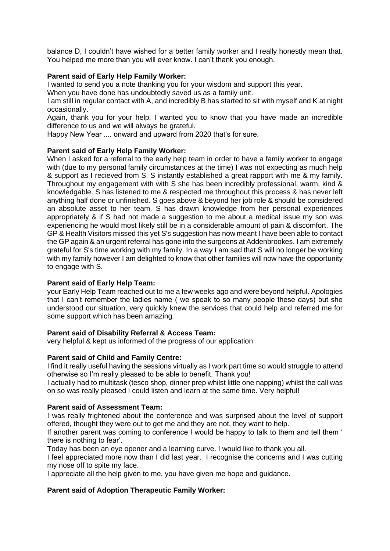balance D, I couldn't have wished for a better family worker and I really honestly mean that. You helped me more than you will ever know. I can't thank you enough.

# **Parent said of Early Help Family Worker:**

I wanted to send you a note thanking you for your wisdom and support this year.

When you have done has undoubtedly saved us as a family unit.

I am still in regular contact with A, and incredibly B has started to sit with myself and K at night occasionally.

Again, thank you for your help, I wanted you to know that you have made an incredible difference to us and we will always be grateful.

Happy New Year .... onward and upward from 2020 that's for sure.

# **Parent said of Early Help Family Worker:**

When I asked for a referral to the early help team in order to have a family worker to engage with (due to my personal family circumstances at the time) I was not expecting as much help & support as I recieved from S. S instantly established a great rapport with me & my family. Throughout my engagement with with S she has been incredibly professional, warm, kind & knowledgable. S has listened to me & respected me throughout this process & has never left anything half done or unfinished. S goes above & beyond her job role & should be considered an absolute asset to her team. S has drawn knowledge from her personal experiences appropriately & if S had not made a suggestion to me about a medical issue my son was experiencing he would most likely still be in a considerable amount of pain & discomfort. The GP & Health Visitors missed this yet S's suggestion has now meant I have been able to contact the GP again & an urgent referral has gone into the surgeons at Addenbrookes. I am extremely grateful for S's time working with my family. In a way I am sad that S will no longer be working with my family however I am delighted to know that other families will now have the opportunity to engage with S.

# **Parent said of Early Help Team:**

your Early Help Team reached out to me a few weeks ago and were beyond helpful. Apologies that I can't remember the ladies name ( we speak to so many people these days) but she understood our situation, very quickly knew the services that could help and referred me for some support which has been amazing.

# **Parent said of Disability Referral & Access Team:**

very helpful & kept us informed of the progress of our application

#### **Parent said of Child and Family Centre:**

I find it really useful having the sessions virtually as I work part time so would struggle to attend otherwise so I'm really pleased to be able to benefit. Thank you!

I actually had to multitask (tesco shop, dinner prep whilst little one napping) whilst the call was on so was really pleased I could listen and learn at the same time. Very helpful!

#### **Parent said of Assessment Team:**

I was really frightened about the conference and was surprised about the level of support offered, thought they were out to get me and they are not, they want to help.

If another parent was coming to conference I would be happy to talk to them and tell them ' there is nothing to fear'.

Today has been an eye opener and a learning curve. I would like to thank you all.

I feel appreciated more now than I did last year. I recognise the concerns and I was cutting my nose off to spite my face.

I appreciate all the help given to me, you have given me hope and guidance.

# **Parent said of Adoption Therapeutic Family Worker:**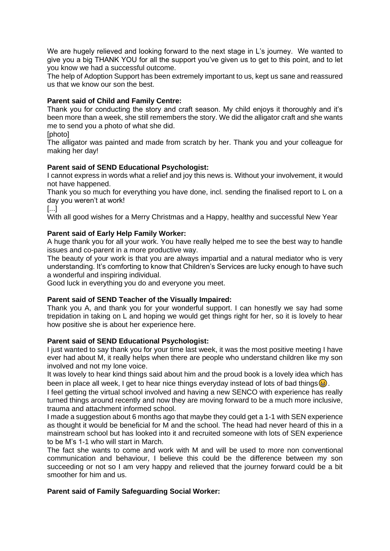We are hugely relieved and looking forward to the next stage in L's journey. We wanted to give you a big THANK YOU for all the support you've given us to get to this point, and to let you know we had a successful outcome.

The help of Adoption Support has been extremely important to us, kept us sane and reassured us that we know our son the best.

# **Parent said of Child and Family Centre:**

Thank you for conducting the story and craft season. My child enjoys it thoroughly and it's been more than a week, she still remembers the story. We did the alligator craft and she wants me to send you a photo of what she did.

[photo]

The alligator was painted and made from scratch by her. Thank you and your colleague for making her day!

# **Parent said of SEND Educational Psychologist:**

I cannot express in words what a relief and joy this news is. Without your involvement, it would not have happened.

Thank you so much for everything you have done, incl. sending the finalised report to L on a day you weren't at work!

[...]

With all good wishes for a Merry Christmas and a Happy, healthy and successful New Year

# **Parent said of Early Help Family Worker:**

A huge thank you for all your work. You have really helped me to see the best way to handle issues and co-parent in a more productive way.

The beauty of your work is that you are always impartial and a natural mediator who is very understanding. It's comforting to know that Children's Services are lucky enough to have such a wonderful and inspiring individual.

Good luck in everything you do and everyone you meet.

#### **Parent said of SEND Teacher of the Visually Impaired:**

Thank you A, and thank you for your wonderful support. I can honestly we say had some trepidation in taking on L and hoping we would get things right for her, so it is lovely to hear how positive she is about her experience here.

#### **Parent said of SEND Educational Psychologist:**

I just wanted to say thank you for your time last week, it was the most positive meeting I have ever had about M, it really helps when there are people who understand children like my son involved and not my lone voice.

It was lovely to hear kind things said about him and the proud book is a lovely idea which has been in place all week, I get to hear nice things everyday instead of lots of bad things  $\bigcirc$ .

I feel getting the virtual school involved and having a new SENCO with experience has really turned things around recently and now they are moving forward to be a much more inclusive, trauma and attachment informed school.

I made a suggestion about 6 months ago that maybe they could get a 1-1 with SEN experience as thought it would be beneficial for M and the school. The head had never heard of this in a mainstream school but has looked into it and recruited someone with lots of SEN experience to be M's 1-1 who will start in March.

The fact she wants to come and work with M and will be used to more non conventional communication and behaviour, I believe this could be the difference between my son succeeding or not so I am very happy and relieved that the journey forward could be a bit smoother for him and us.

#### **Parent said of Family Safeguarding Social Worker:**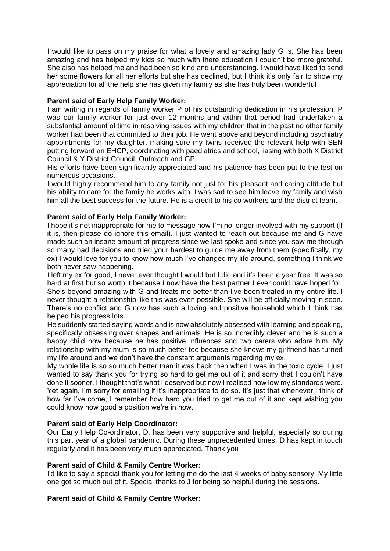I would like to pass on my praise for what a lovely and amazing lady G is. She has been amazing and has helped my kids so much with there education I couldn't be more grateful. She also has helped me and had been so kind and understanding. I would have liked to send her some flowers for all her efforts but she has declined, but I think it's only fair to show my appreciation for all the help she has given my family as she has truly been wonderful

# **Parent said of Early Help Family Worker:**

I am writing in regards of family worker P of his outstanding dedication in his profession. P was our family worker for just over 12 months and within that period had undertaken a substantial amount of time in resolving issues with my children that in the past no other family worker had been that committed to their job. He went above and beyond including psychiatry appointments for my daughter, making sure my twins received the relevant help with SEN putting forward an EHCP, coordinating with paediatrics and school, liasing with both X District Council & Y District Council, Outreach and GP.

His efforts have been significantly appreciated and his patience has been put to the test on numerous occasions.

I would highly recommend him to any family not just for his pleasant and caring attitude but his ability to care for the family he works with. I was sad to see him leave my family and wish him all the best success for the future. He is a credit to his co workers and the district team.

# **Parent said of Early Help Family Worker:**

I hope it's not inappropriate for me to message now I'm no longer involved with my support (if it is, then please do ignore this email). I just wanted to reach out because me and G have made such an insane amount of progress since we last spoke and since you saw me through so many bad decisions and tried your hardest to guide me away from them (specifically, my ex) I would love for you to know how much I've changed my life around, something I think we both never saw happening.

I left my ex for good, I never ever thought I would but I did and it's been a year free. It was so hard at first but so worth it because I now have the best partner I ever could have hoped for. She's beyond amazing with G and treats me better than I've been treated in my entire life. I never thought a relationship like this was even possible. She will be officially moving in soon. There's no conflict and G now has such a loving and positive household which I think has helped his progress lots.

He suddenly started saying words and is now absolutely obsessed with learning and speaking, specifically obsessing over shapes and animals. He is so incredibly clever and he is such a happy child now because he has positive influences and two carers who adore him. My relationship with my mum is so much better too because she knows my girlfriend has turned my life around and we don't have the constant arguments regarding my ex.

My whole life is so so much better than it was back then when I was in the toxic cycle. I just wanted to say thank you for trying so hard to get me out of it and sorry that I couldn't have done it sooner. I thought that's what I deserved but now I realised how low my standards were. Yet again, I'm sorry for emailing if it's inappropriate to do so. It's just that whenever I think of how far I've come, I remember how hard you tried to get me out of it and kept wishing you could know how good a position we're in now.

#### **Parent said of Early Help Coordinator:**

Our Early Help Co-ordinator, D, has been very supportive and helpful, especially so during this part year of a global pandemic. During these unprecedented times, D has kept in touch regularly and it has been very much appreciated. Thank you

#### **Parent said of Child & Family Centre Worker:**

I'd like to say a special thank you for letting me do the last 4 weeks of baby sensory. My little one got so much out of it. Special thanks to J for being so helpful during the sessions.

#### **Parent said of Child & Family Centre Worker:**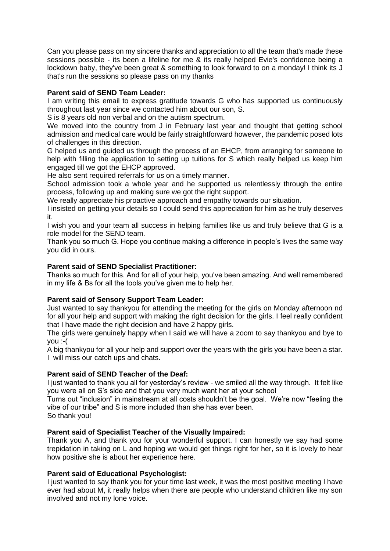Can you please pass on my sincere thanks and appreciation to all the team that's made these sessions possible - its been a lifeline for me & its really helped Evie's confidence being a lockdown baby, they've been great & something to look forward to on a monday! I think its J that's run the sessions so please pass on my thanks

# **Parent said of SEND Team Leader:**

I am writing this email to express gratitude towards G who has supported us continuously throughout last year since we contacted him about our son, S.

S is 8 years old non verbal and on the autism spectrum.

We moved into the country from J in February last year and thought that getting school admission and medical care would be fairly straightforward however, the pandemic posed lots of challenges in this direction.

G helped us and guided us through the process of an EHCP, from arranging for someone to help with filling the application to setting up tuitions for S which really helped us keep him engaged till we got the EHCP approved.

He also sent required referrals for us on a timely manner.

School admission took a whole year and he supported us relentlessly through the entire process, following up and making sure we got the right support.

We really appreciate his proactive approach and empathy towards our situation.

I insisted on getting your details so I could send this appreciation for him as he truly deserves it.

I wish you and your team all success in helping families like us and truly believe that G is a role model for the SEND team.

Thank you so much G. Hope you continue making a difference in people's lives the same way you did in ours.

# **Parent said of SEND Specialist Practitioner:**

Thanks so much for this. And for all of your help, you've been amazing. And well remembered in my life & Bs for all the tools you've given me to help her.

# **Parent said of Sensory Support Team Leader:**

Just wanted to say thankyou for attending the meeting for the girls on Monday afternoon nd for all your help and support with making the right decision for the girls. I feel really confident that I have made the right decision and have 2 happy girls.

The girls were genuinely happy when I said we will have a zoom to say thankyou and bye to you :-(

A big thankyou for all your help and support over the years with the girls you have been a star. I will miss our catch ups and chats.

# **Parent said of SEND Teacher of the Deaf:**

I just wanted to thank you all for yesterday's review - we smiled all the way through. It felt like you were all on S's side and that you very much want her at your school

Turns out "inclusion" in mainstream at all costs shouldn't be the goal. We're now "feeling the vibe of our tribe" and S is more included than she has ever been.

So thank you!

# **Parent said of Specialist Teacher of the Visually Impaired:**

Thank you A, and thank you for your wonderful support. I can honestly we say had some trepidation in taking on L and hoping we would get things right for her, so it is lovely to hear how positive she is about her experience here.

# **Parent said of Educational Psychologist:**

I just wanted to say thank you for your time last week, it was the most positive meeting I have ever had about M, it really helps when there are people who understand children like my son involved and not my lone voice.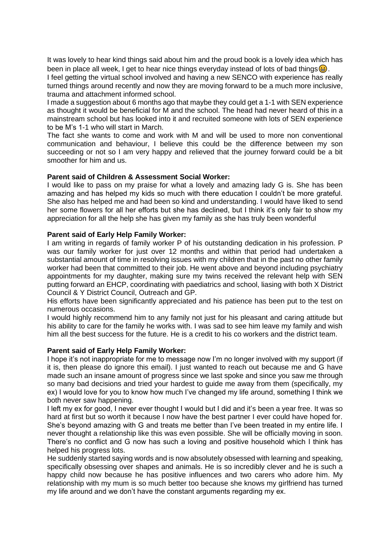It was lovely to hear kind things said about him and the proud book is a lovely idea which has been in place all week, I get to hear nice things everyday instead of lots of bad things  $\bigcirc$ . I feel getting the virtual school involved and having a new SENCO with experience has really

turned things around recently and now they are moving forward to be a much more inclusive, trauma and attachment informed school.

I made a suggestion about 6 months ago that maybe they could get a 1-1 with SEN experience as thought it would be beneficial for M and the school. The head had never heard of this in a mainstream school but has looked into it and recruited someone with lots of SEN experience to be M's 1-1 who will start in March.

The fact she wants to come and work with M and will be used to more non conventional communication and behaviour, I believe this could be the difference between my son succeeding or not so I am very happy and relieved that the journey forward could be a bit smoother for him and us.

# **Parent said of Children & Assessment Social Worker:**

I would like to pass on my praise for what a lovely and amazing lady G is. She has been amazing and has helped my kids so much with there education I couldn't be more grateful. She also has helped me and had been so kind and understanding. I would have liked to send her some flowers for all her efforts but she has declined, but I think it's only fair to show my appreciation for all the help she has given my family as she has truly been wonderful

# **Parent said of Early Help Family Worker:**

I am writing in regards of family worker P of his outstanding dedication in his profession. P was our family worker for just over 12 months and within that period had undertaken a substantial amount of time in resolving issues with my children that in the past no other family worker had been that committed to their job. He went above and beyond including psychiatry appointments for my daughter, making sure my twins received the relevant help with SEN putting forward an EHCP, coordinating with paediatrics and school, liasing with both X District Council & Y District Council, Outreach and GP.

His efforts have been significantly appreciated and his patience has been put to the test on numerous occasions.

I would highly recommend him to any family not just for his pleasant and caring attitude but his ability to care for the family he works with. I was sad to see him leave my family and wish him all the best success for the future. He is a credit to his co workers and the district team.

#### **Parent said of Early Help Family Worker:**

I hope it's not inappropriate for me to message now I'm no longer involved with my support (if it is, then please do ignore this email). I just wanted to reach out because me and G have made such an insane amount of progress since we last spoke and since you saw me through so many bad decisions and tried your hardest to guide me away from them (specifically, my ex) I would love for you to know how much I've changed my life around, something I think we both never saw happening.

I left my ex for good, I never ever thought I would but I did and it's been a year free. It was so hard at first but so worth it because I now have the best partner I ever could have hoped for. She's beyond amazing with G and treats me better than I've been treated in my entire life. I never thought a relationship like this was even possible. She will be officially moving in soon. There's no conflict and G now has such a loving and positive household which I think has helped his progress lots.

He suddenly started saying words and is now absolutely obsessed with learning and speaking, specifically obsessing over shapes and animals. He is so incredibly clever and he is such a happy child now because he has positive influences and two carers who adore him. My relationship with my mum is so much better too because she knows my girlfriend has turned my life around and we don't have the constant arguments regarding my ex.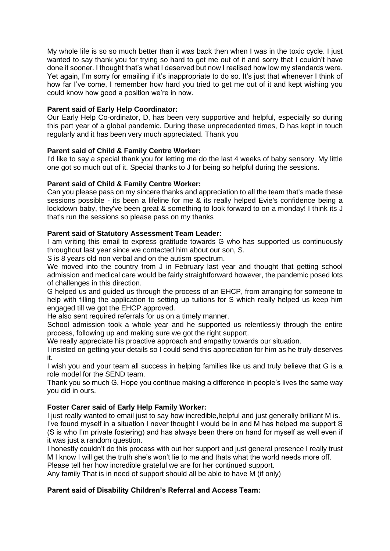My whole life is so so much better than it was back then when I was in the toxic cycle. I just wanted to say thank you for trying so hard to get me out of it and sorry that I couldn't have done it sooner. I thought that's what I deserved but now I realised how low my standards were. Yet again, I'm sorry for emailing if it's inappropriate to do so. It's just that whenever I think of how far I've come, I remember how hard you tried to get me out of it and kept wishing you could know how good a position we're in now.

# **Parent said of Early Help Coordinator:**

Our Early Help Co-ordinator, D, has been very supportive and helpful, especially so during this part year of a global pandemic. During these unprecedented times, D has kept in touch regularly and it has been very much appreciated. Thank you

# **Parent said of Child & Family Centre Worker:**

I'd like to say a special thank you for letting me do the last 4 weeks of baby sensory. My little one got so much out of it. Special thanks to J for being so helpful during the sessions.

# **Parent said of Child & Family Centre Worker:**

Can you please pass on my sincere thanks and appreciation to all the team that's made these sessions possible - its been a lifeline for me & its really helped Evie's confidence being a lockdown baby, they've been great & something to look forward to on a monday! I think its J that's run the sessions so please pass on my thanks

# **Parent said of Statutory Assessment Team Leader:**

I am writing this email to express gratitude towards G who has supported us continuously throughout last year since we contacted him about our son, S.

S is 8 years old non verbal and on the autism spectrum.

We moved into the country from J in February last year and thought that getting school admission and medical care would be fairly straightforward however, the pandemic posed lots of challenges in this direction.

G helped us and guided us through the process of an EHCP, from arranging for someone to help with filling the application to setting up tuitions for S which really helped us keep him engaged till we got the EHCP approved.

He also sent required referrals for us on a timely manner.

School admission took a whole year and he supported us relentlessly through the entire process, following up and making sure we got the right support.

We really appreciate his proactive approach and empathy towards our situation.

I insisted on getting your details so I could send this appreciation for him as he truly deserves it.

I wish you and your team all success in helping families like us and truly believe that G is a role model for the SEND team.

Thank you so much G. Hope you continue making a difference in people's lives the same way you did in ours.

# **Foster Carer said of Early Help Family Worker:**

I just really wanted to email just to say how incredible, helpful and just generally brilliant M is. I've found myself in a situation I never thought I would be in and M has helped me support S (S is who I'm private fostering) and has always been there on hand for myself as well even if it was just a random question.

I honestly couldn't do this process with out her support and just general presence I really trust M I know I will get the truth she's won't lie to me and thats what the world needs more off.

Please tell her how incredible grateful we are for her continued support.

Any family That is in need of support should all be able to have M (if only)

# **Parent said of Disability Children's Referral and Access Team:**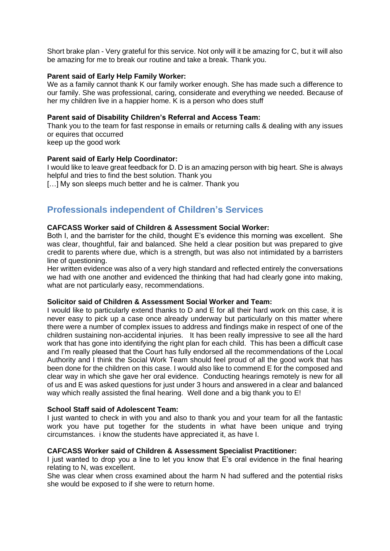Short brake plan - Very grateful for this service. Not only will it be amazing for C, but it will also be amazing for me to break our routine and take a break. Thank you.

#### **Parent said of Early Help Family Worker:**

We as a family cannot thank K our family worker enough. She has made such a difference to our family. She was professional, caring, considerate and everything we needed. Because of her my children live in a happier home. K is a person who does stuff

#### **Parent said of Disability Children's Referral and Access Team:**

Thank you to the team for fast response in emails or returning calls & dealing with any issues or equires that occurred

keep up the good work

# **Parent said of Early Help Coordinator:**

I would like to leave great feedback for D. D is an amazing person with big heart. She is always helpful and tries to find the best solution. Thank you

[…] My son sleeps much better and he is calmer. Thank you

# **Professionals independent of Children's Services**

# **CAFCASS Worker said of Children & Assessment Social Worker:**

Both I, and the barrister for the child, thought E's evidence this morning was excellent. She was clear, thoughtful, fair and balanced. She held a clear position but was prepared to give credit to parents where due, which is a strength, but was also not intimidated by a barristers line of questioning.

Her written evidence was also of a very high standard and reflected entirely the conversations we had with one another and evidenced the thinking that had had clearly gone into making, what are not particularly easy, recommendations.

#### **Solicitor said of Children & Assessment Social Worker and Team:**

I would like to particularly extend thanks to D and E for all their hard work on this case, it is never easy to pick up a case once already underway but particularly on this matter where there were a number of complex issues to address and findings make in respect of one of the children sustaining non-accidental injuries. It has been really impressive to see all the hard work that has gone into identifying the right plan for each child. This has been a difficult case and I'm really pleased that the Court has fully endorsed all the recommendations of the Local Authority and I think the Social Work Team should feel proud of all the good work that has been done for the children on this case. I would also like to commend E for the composed and clear way in which she gave her oral evidence. Conducting hearings remotely is new for all of us and E was asked questions for just under 3 hours and answered in a clear and balanced way which really assisted the final hearing. Well done and a big thank you to E!

#### **School Staff said of Adolescent Team:**

I iust wanted to check in with you and also to thank you and your team for all the fantastic work you have put together for the students in what have been unique and trying circumstances. i know the students have appreciated it, as have I.

# **CAFCASS Worker said of Children & Assessment Specialist Practitioner:**

I just wanted to drop you a line to let you know that E's oral evidence in the final hearing relating to N, was excellent.

She was clear when cross examined about the harm N had suffered and the potential risks she would be exposed to if she were to return home.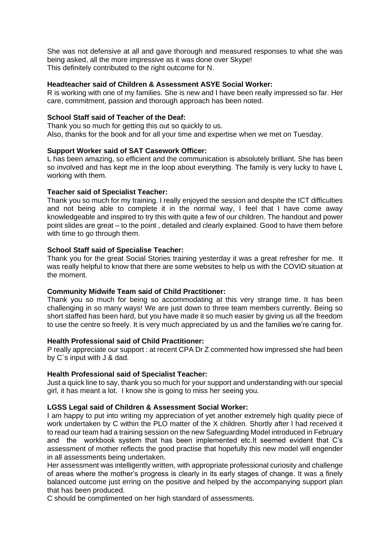She was not defensive at all and gave thorough and measured responses to what she was being asked, all the more impressive as it was done over Skype! This definitely contributed to the right outcome for N.

# **Headteacher said of Children & Assessment ASYE Social Worker:**

R is working with one of my families. She is new and I have been really impressed so far. Her care, commitment, passion and thorough approach has been noted.

# **School Staff said of Teacher of the Deaf:**

Thank you so much for getting this out so quickly to us. Also, thanks for the book and for all your time and expertise when we met on Tuesday.

# **Support Worker said of SAT Casework Officer:**

L has been amazing, so efficient and the communication is absolutely brilliant. She has been so involved and has kept me in the loop about everything. The family is very lucky to have L working with them.

# **Teacher said of Specialist Teacher:**

Thank you so much for my training. I really enjoyed the session and despite the ICT difficulties and not being able to complete it in the normal way, I feel that I have come away knowledgeable and inspired to try this with quite a few of our children. The handout and power point slides are great – to the point , detailed and clearly explained. Good to have them before with time to go through them.

# **School Staff said of Specialise Teacher:**

Thank you for the great Social Stories training yesterday it was a great refresher for me. It was really helpful to know that there are some websites to help us with the COVID situation at the moment.

# **Community Midwife Team said of Child Practitioner:**

Thank you so much for being so accommodating at this very strange time. It has been challenging in so many ways! We are just down to three team members currently. Being so short staffed has been hard, but you have made it so much easier by giving us all the freedom to use the centre so freely. It is very much appreciated by us and the families we're caring for.

# **Health Professional said of Child Practitioner:**

P really appreciate our support : at recent CPA Dr Z commented how impressed she had been by C`s input with J & dad.

# **Health Professional said of Specialist Teacher:**

Just a quick line to say, thank you so much for your support and understanding with our special girl, it has meant a lot. I know she is going to miss her seeing you.

# **LGSS Legal said of Children & Assessment Social Worker:**

I am happy to put into writing my appreciation of yet another extremely high quality piece of work undertaken by C within the PLO matter of the X children. Shortly after I had received it to read our team had a training session on the new Safeguarding Model introduced in February and the workbook system that has been implemented etc.It seemed evident that C's assessment of mother reflects the good practise that hopefully this new model will engender in all assessments being undertaken.

Her assessment was intelligently written, with appropriate professional curiosity and challenge of areas where the mother's progress is clearly in its early stages of change. It was a finely balanced outcome just erring on the positive and helped by the accompanying support plan that has been produced.

C should be complimented on her high standard of assessments.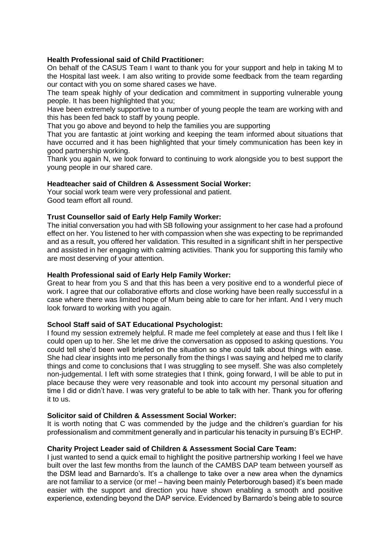# **Health Professional said of Child Practitioner:**

On behalf of the CASUS Team I want to thank you for your support and help in taking M to the Hospital last week. I am also writing to provide some feedback from the team regarding our contact with you on some shared cases we have.

The team speak highly of your dedication and commitment in supporting vulnerable young people. It has been highlighted that you;

Have been extremely supportive to a number of young people the team are working with and this has been fed back to staff by young people.

That you go above and beyond to help the families you are supporting

That you are fantastic at joint working and keeping the team informed about situations that have occurred and it has been highlighted that your timely communication has been key in good partnership working.

Thank you again N, we look forward to continuing to work alongside you to best support the young people in our shared care.

# **Headteacher said of Children & Assessment Social Worker:**

Your social work team were very professional and patient. Good team effort all round.

# **Trust Counsellor said of Early Help Family Worker:**

The initial conversation you had with SB following your assignment to her case had a profound effect on her. You listened to her with compassion when she was expecting to be reprimanded and as a result, you offered her validation. This resulted in a significant shift in her perspective and assisted in her engaging with calming activities. Thank you for supporting this family who are most deserving of your attention.

#### **Health Professional said of Early Help Family Worker:**

Great to hear from you S and that this has been a very positive end to a wonderful piece of work. I agree that our collaborative efforts and close working have been really successful in a case where there was limited hope of Mum being able to care for her infant. And I very much look forward to working with you again.

#### **School Staff said of SAT Educational Psychologist:**

I found my session extremely helpful. R made me feel completely at ease and thus I felt like I could open up to her. She let me drive the conversation as opposed to asking questions. You could tell she'd been well briefed on the situation so she could talk about things with ease. She had clear insights into me personally from the things I was saying and helped me to clarify things and come to conclusions that I was struggling to see myself. She was also completely non-judgemental. I left with some strategies that I think, going forward, I will be able to put in place because they were very reasonable and took into account my personal situation and time I did or didn't have. I was very grateful to be able to talk with her. Thank you for offering it to us.

#### **Solicitor said of Children & Assessment Social Worker:**

It is worth noting that C was commended by the judge and the children's guardian for his professionalism and commitment generally and in particular his tenacity in pursuing B's ECHP.

#### **Charity Project Leader said of Children & Assessment Social Care Team:**

I just wanted to send a quick email to highlight the positive partnership working I feel we have built over the last few months from the launch of the CAMBS DAP team between yourself as the DSM lead and Barnardo's. It's a challenge to take over a new area when the dynamics are not familiar to a service (or me! – having been mainly Peterborough based) it's been made easier with the support and direction you have shown enabling a smooth and positive experience, extending beyond the DAP service. Evidenced by Barnardo's being able to source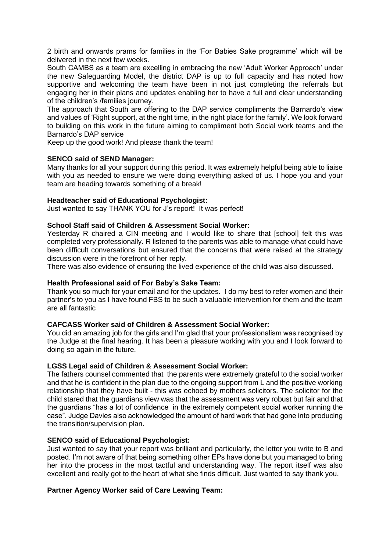2 birth and onwards prams for families in the 'For Babies Sake programme' which will be delivered in the next few weeks.

South CAMBS as a team are excelling in embracing the new 'Adult Worker Approach' under the new Safeguarding Model, the district DAP is up to full capacity and has noted how supportive and welcoming the team have been in not just completing the referrals but engaging her in their plans and updates enabling her to have a full and clear understanding of the children's /families journey.

The approach that South are offering to the DAP service compliments the Barnardo's view and values of 'Right support, at the right time, in the right place for the family'. We look forward to building on this work in the future aiming to compliment both Social work teams and the Barnardo's DAP service

Keep up the good work! And please thank the team!

# **SENCO said of SEND Manager:**

Many thanks for all your support during this period. It was extremely helpful being able to liaise with you as needed to ensure we were doing everything asked of us. I hope you and your team are heading towards something of a break!

# **Headteacher said of Educational Psychologist:**

Just wanted to say THANK YOU for J's report! It was perfect!

# **School Staff said of Children & Assessment Social Worker:**

Yesterday R chaired a CIN meeting and I would like to share that [school] felt this was completed very professionally. R listened to the parents was able to manage what could have been difficult conversations but ensured that the concerns that were raised at the strategy discussion were in the forefront of her reply.

There was also evidence of ensuring the lived experience of the child was also discussed.

#### **Health Professional said of For Baby's Sake Team:**

Thank you so much for your email and for the updates. I do my best to refer women and their partner's to you as I have found FBS to be such a valuable intervention for them and the team are all fantastic

#### **CAFCASS Worker said of Children & Assessment Social Worker:**

You did an amazing job for the girls and I'm glad that your professionalism was recognised by the Judge at the final hearing. It has been a pleasure working with you and I look forward to doing so again in the future.

#### **LGSS Legal said of Children & Assessment Social Worker:**

The fathers counsel commented that the parents were extremely grateful to the social worker and that he is confident in the plan due to the ongoing support from L and the positive working relationship that they have built - this was echoed by mothers solicitors. The solicitor for the child stared that the guardians view was that the assessment was very robust but fair and that the guardians "has a lot of confidence in the extremely competent social worker running the case". Judge Davies also acknowledged the amount of hard work that had gone into producing the transition/supervision plan.

#### **SENCO said of Educational Psychologist:**

Just wanted to say that your report was brilliant and particularly, the letter you write to B and posted. I'm not aware of that being something other EPs have done but you managed to bring her into the process in the most tactful and understanding way. The report itself was also excellent and really got to the heart of what she finds difficult. Just wanted to say thank you.

# **Partner Agency Worker said of Care Leaving Team:**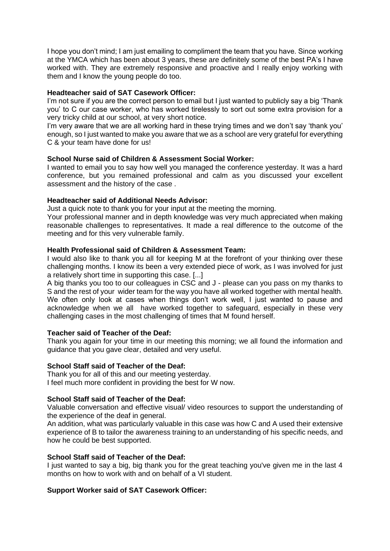I hope you don't mind; I am just emailing to compliment the team that you have. Since working at the YMCA which has been about 3 years, these are definitely some of the best PA's I have worked with. They are extremely responsive and proactive and I really enjoy working with them and I know the young people do too.

# **Headteacher said of SAT Casework Officer:**

I'm not sure if you are the correct person to email but I just wanted to publicly say a big 'Thank you' to C our case worker, who has worked tirelessly to sort out some extra provision for a very tricky child at our school, at very short notice.

I'm very aware that we are all working hard in these trying times and we don't say 'thank you' enough, so I just wanted to make you aware that we as a school are very grateful for everything C & your team have done for us!

# **School Nurse said of Children & Assessment Social Worker:**

I wanted to email you to say how well you managed the conference yesterday. It was a hard conference, but you remained professional and calm as you discussed your excellent assessment and the history of the case .

# **Headteacher said of Additional Needs Advisor:**

Just a quick note to thank you for your input at the meeting the morning.

Your professional manner and in depth knowledge was very much appreciated when making reasonable challenges to representatives. It made a real difference to the outcome of the meeting and for this very vulnerable family.

# **Health Professional said of Children & Assessment Team:**

I would also like to thank you all for keeping M at the forefront of your thinking over these challenging months. I know its been a very extended piece of work, as I was involved for just a relatively short time in supporting this case. [...]

A big thanks you too to our colleagues in CSC and J - please can you pass on my thanks to S and the rest of your wider team for the way you have all worked together with mental health. We often only look at cases when things don't work well, I just wanted to pause and acknowledge when we all have worked together to safeguard, especially in these very challenging cases in the most challenging of times that M found herself.

# **Teacher said of Teacher of the Deaf:**

Thank you again for your time in our meeting this morning; we all found the information and guidance that you gave clear, detailed and very useful.

# **School Staff said of Teacher of the Deaf:**

Thank you for all of this and our meeting yesterday. I feel much more confident in providing the best for W now.

# **School Staff said of Teacher of the Deaf:**

Valuable conversation and effective visual/ video resources to support the understanding of the experience of the deaf in general.

An addition, what was particularly valuable in this case was how C and A used their extensive experience of B to tailor the awareness training to an understanding of his specific needs, and how he could be best supported.

#### **School Staff said of Teacher of the Deaf:**

I just wanted to say a big, big thank you for the great teaching you've given me in the last 4 months on how to work with and on behalf of a VI student.

# **Support Worker said of SAT Casework Officer:**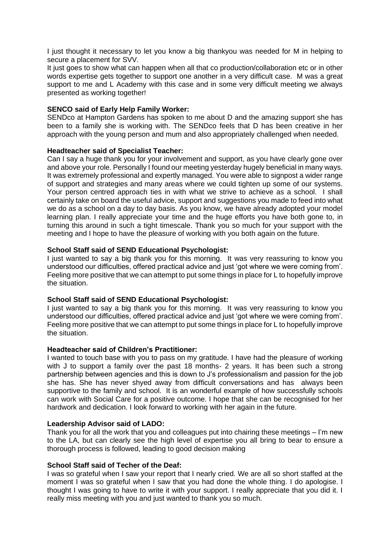I just thought it necessary to let you know a big thankyou was needed for M in helping to secure a placement for SVV.

It just goes to show what can happen when all that co production/collaboration etc or in other words expertise gets together to support one another in a very difficult case. M was a great support to me and L Academy with this case and in some very difficult meeting we always presented as working together!

# **SENCO said of Early Help Family Worker:**

SENDco at Hampton Gardens has spoken to me about D and the amazing support she has been to a family she is working with. The SENDco feels that D has been creative in her approach with the young person and mum and also appropriately challenged when needed.

# **Headteacher said of Specialist Teacher:**

Can I say a huge thank you for your involvement and support, as you have clearly gone over and above your role. Personally I found our meeting yesterday hugely beneficial in many ways. It was extremely professional and expertly managed. You were able to signpost a wider range of support and strategies and many areas where we could tighten up some of our systems. Your person centred approach ties in with what we strive to achieve as a school. I shall certainly take on board the useful advice, support and suggestions you made to feed into what we do as a school on a day to day basis. As you know, we have already adopted your model learning plan. I really appreciate your time and the huge efforts you have both gone to, in turning this around in such a tight timescale. Thank you so much for your support with the meeting and I hope to have the pleasure of working with you both again on the future.

# **School Staff said of SEND Educational Psychologist:**

I just wanted to say a big thank you for this morning. It was very reassuring to know you understood our difficulties, offered practical advice and just 'got where we were coming from'. Feeling more positive that we can attempt to put some things in place for L to hopefully improve the situation.

#### **School Staff said of SEND Educational Psychologist:**

I just wanted to say a big thank you for this morning. It was very reassuring to know you understood our difficulties, offered practical advice and just 'got where we were coming from'. Feeling more positive that we can attempt to put some things in place for L to hopefully improve the situation.

#### **Headteacher said of Children's Practitioner:**

I wanted to touch base with you to pass on my gratitude. I have had the pleasure of working with J to support a family over the past 18 months- 2 years. It has been such a strong partnership between agencies and this is down to J's professionalism and passion for the job she has. She has never shyed away from difficult conversations and has always been supportive to the family and school. It is an wonderful example of how successfully schools can work with Social Care for a positive outcome. I hope that she can be recognised for her hardwork and dedication. I look forward to working with her again in the future.

#### **Leadership Advisor said of LADO:**

Thank you for all the work that you and colleagues put into chairing these meetings – I'm new to the LA, but can clearly see the high level of expertise you all bring to bear to ensure a thorough process is followed, leading to good decision making

#### **School Staff said of Techer of the Deaf:**

I was so grateful when I saw your report that I nearly cried. We are all so short staffed at the moment I was so grateful when I saw that you had done the whole thing. I do apologise. I thought I was going to have to write it with your support. I really appreciate that you did it. I really miss meeting with you and just wanted to thank you so much.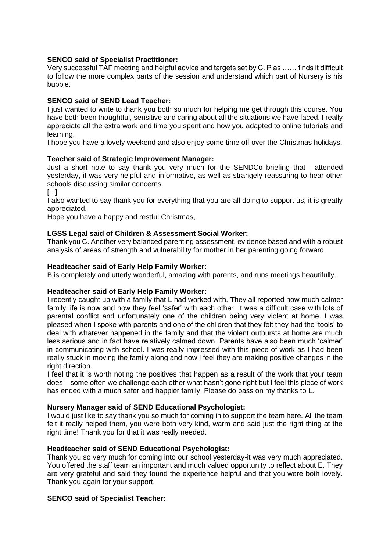# **SENCO said of Specialist Practitioner:**

Very successful TAF meeting and helpful advice and targets set by C. P as …… finds it difficult to follow the more complex parts of the session and understand which part of Nursery is his bubble.

# **SENCO said of SEND Lead Teacher:**

I just wanted to write to thank you both so much for helping me get through this course. You have both been thoughtful, sensitive and caring about all the situations we have faced. I really appreciate all the extra work and time you spent and how you adapted to online tutorials and learning.

I hope you have a lovely weekend and also enjoy some time off over the Christmas holidays.

# **Teacher said of Strategic Improvement Manager:**

Just a short note to say thank you very much for the SENDCo briefing that I attended yesterday, it was very helpful and informative, as well as strangely reassuring to hear other schools discussing similar concerns.

[...]

I also wanted to say thank you for everything that you are all doing to support us, it is greatly appreciated.

Hope you have a happy and restful Christmas,

# **LGSS Legal said of Children & Assessment Social Worker:**

Thank you C. Another very balanced parenting assessment, evidence based and with a robust analysis of areas of strength and vulnerability for mother in her parenting going forward.

# **Headteacher said of Early Help Family Worker:**

B is completely and utterly wonderful, amazing with parents, and runs meetings beautifully.

# **Headteacher said of Early Help Family Worker:**

I recently caught up with a family that L had worked with. They all reported how much calmer family life is now and how they feel 'safer' with each other. It was a difficult case with lots of parental conflict and unfortunately one of the children being very violent at home. I was pleased when I spoke with parents and one of the children that they felt they had the 'tools' to deal with whatever happened in the family and that the violent outbursts at home are much less serious and in fact have relatively calmed down. Parents have also been much 'calmer' in communicating with school. I was really impressed with this piece of work as I had been really stuck in moving the family along and now I feel they are making positive changes in the right direction.

I feel that it is worth noting the positives that happen as a result of the work that your team does – some often we challenge each other what hasn't gone right but I feel this piece of work has ended with a much safer and happier family. Please do pass on my thanks to L.

# **Nursery Manager said of SEND Educational Psychologist:**

I would just like to say thank you so much for coming in to support the team here. All the team felt it really helped them, you were both very kind, warm and said just the right thing at the right time! Thank you for that it was really needed.

# **Headteacher said of SEND Educational Psychologist:**

Thank you so very much for coming into our school yesterday-it was very much appreciated. You offered the staff team an important and much valued opportunity to reflect about E. They are very grateful and said they found the experience helpful and that you were both lovely. Thank you again for your support.

#### **SENCO said of Specialist Teacher:**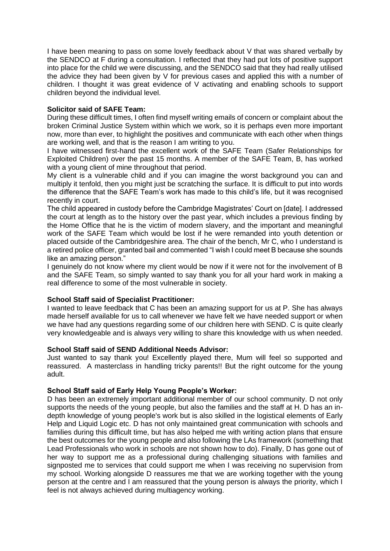I have been meaning to pass on some lovely feedback about V that was shared verbally by the SENDCO at F during a consultation. I reflected that they had put lots of positive support into place for the child we were discussing, and the SENDCO said that they had really utilised the advice they had been given by V for previous cases and applied this with a number of children. I thought it was great evidence of V activating and enabling schools to support children beyond the individual level.

# **Solicitor said of SAFE Team:**

During these difficult times, I often find myself writing emails of concern or complaint about the broken Criminal Justice System within which we work, so it is perhaps even more important now, more than ever, to highlight the positives and communicate with each other when things are working well, and that is the reason I am writing to you.

I have witnessed first-hand the excellent work of the SAFE Team (Safer Relationships for Exploited Children) over the past 15 months. A member of the SAFE Team, B, has worked with a young client of mine throughout that period.

My client is a vulnerable child and if you can imagine the worst background you can and multiply it tenfold, then you might just be scratching the surface. It is difficult to put into words the difference that the SAFE Team's work has made to this child's life, but it was recognised recently in court.

The child appeared in custody before the Cambridge Magistrates' Court on [date]. I addressed the court at length as to the history over the past year, which includes a previous finding by the Home Office that he is the victim of modern slavery, and the important and meaningful work of the SAFE Team which would be lost if he were remanded into youth detention or placed outside of the Cambridgeshire area. The chair of the bench, Mr C, who I understand is a retired police officer, granted bail and commented "I wish I could meet B because she sounds like an amazing person."

I genuinely do not know where my client would be now if it were not for the involvement of B and the SAFE Team, so simply wanted to say thank you for all your hard work in making a real difference to some of the most vulnerable in society.

# **School Staff said of Specialist Practitioner:**

I wanted to leave feedback that C has been an amazing support for us at P. She has always made herself available for us to call whenever we have felt we have needed support or when we have had any questions regarding some of our children here with SEND. C is quite clearly very knowledgeable and is always very willing to share this knowledge with us when needed.

#### **School Staff said of SEND Additional Needs Advisor:**

Just wanted to say thank you! Excellently played there, Mum will feel so supported and reassured. A masterclass in handling tricky parents!! But the right outcome for the young adult.

# **School Staff said of Early Help Young People's Worker:**

D has been an extremely important additional member of our school community. D not only supports the needs of the young people, but also the families and the staff at H. D has an indepth knowledge of young people's work but is also skilled in the logistical elements of Early Help and Liquid Logic etc. D has not only maintained great communication with schools and families during this difficult time, but has also helped me with writing action plans that ensure the best outcomes for the young people and also following the LAs framework (something that Lead Professionals who work in schools are not shown how to do). Finally, D has gone out of her way to support me as a professional during challenging situations with families and signposted me to services that could support me when I was receiving no supervision from my school. Working alongside D reassures me that we are working together with the young person at the centre and I am reassured that the young person is always the priority, which I feel is not always achieved during multiagency working.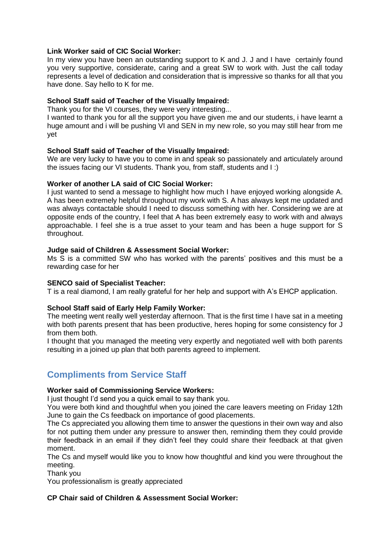# **Link Worker said of CIC Social Worker:**

In my view you have been an outstanding support to K and J. J and I have certainly found you very supportive, considerate, caring and a great SW to work with. Just the call today represents a level of dedication and consideration that is impressive so thanks for all that you have done. Say hello to K for me.

# **School Staff said of Teacher of the Visually Impaired:**

Thank you for the VI courses, they were very interesting...

I wanted to thank you for all the support you have given me and our students, i have learnt a huge amount and i will be pushing VI and SEN in my new role, so you may still hear from me yet

# **School Staff said of Teacher of the Visually Impaired:**

We are very lucky to have you to come in and speak so passionately and articulately around the issues facing our VI students. Thank you, from staff, students and I :)

# **Worker of another LA said of CIC Social Worker:**

I just wanted to send a message to highlight how much I have enjoyed working alongside A. A has been extremely helpful throughout my work with S. A has always kept me updated and was always contactable should I need to discuss something with her. Considering we are at opposite ends of the country, I feel that A has been extremely easy to work with and always approachable. I feel she is a true asset to your team and has been a huge support for S throughout.

#### **Judge said of Children & Assessment Social Worker:**

Ms S is a committed SW who has worked with the parents' positives and this must be a rewarding case for her

#### **SENCO said of Specialist Teacher:**

T is a real diamond, I am really grateful for her help and support with A's EHCP application.

# **School Staff said of Early Help Family Worker:**

The meeting went really well yesterday afternoon. That is the first time I have sat in a meeting with both parents present that has been productive, heres hoping for some consistency for J from them both.

I thought that you managed the meeting very expertly and negotiated well with both parents resulting in a joined up plan that both parents agreed to implement.

# **Compliments from Service Staff**

# **Worker said of Commissioning Service Workers:**

I just thought I'd send you a quick email to say thank you.

You were both kind and thoughtful when you joined the care leavers meeting on Friday 12th June to gain the Cs feedback on importance of good placements.

The Cs appreciated you allowing them time to answer the questions in their own way and also for not putting them under any pressure to answer then, reminding them they could provide their feedback in an email if they didn't feel they could share their feedback at that given moment.

The Cs and myself would like you to know how thoughtful and kind you were throughout the meeting.

Thank you

You professionalism is greatly appreciated

# **CP Chair said of Children & Assessment Social Worker:**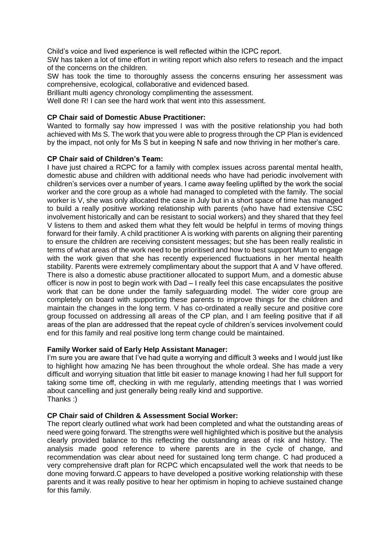Child's voice and lived experience is well reflected within the ICPC report.

SW has taken a lot of time effort in writing report which also refers to reseach and the impact of the concerns on the children.

SW has took the time to thoroughly assess the concerns ensuring her assessment was comprehensive, ecological, collaborative and evidenced based.

Brilliant multi agency chronology complimenting the assessment.

Well done R! I can see the hard work that went into this assessment.

# **CP Chair said of Domestic Abuse Practitioner:**

Wanted to formally say how impressed I was with the positive relationship you had both achieved with Ms S. The work that you were able to progress through the CP Plan is evidenced by the impact, not only for Ms S but in keeping N safe and now thriving in her mother's care.

# **CP Chair said of Children's Team:**

I have just chaired a RCPC for a family with complex issues across parental mental health, domestic abuse and children with additional needs who have had periodic involvement with children's services over a number of years. I came away feeling uplifted by the work the social worker and the core group as a whole had managed to completed with the family. The social worker is V, she was only allocated the case in July but in a short space of time has managed to build a really positive working relationship with parents (who have had extensive CSC involvement historically and can be resistant to social workers) and they shared that they feel V listens to them and asked them what they felt would be helpful in terms of moving things forward for their family. A child practitioner A is working with parents on aligning their parenting to ensure the children are receiving consistent messages; but she has been really realistic in terms of what areas of the work need to be prioritised and how to best support Mum to engage with the work given that she has recently experienced fluctuations in her mental health stability. Parents were extremely complimentary about the support that A and V have offered. There is also a domestic abuse practitioner allocated to support Mum, and a domestic abuse officer is now in post to begin work with Dad – I really feel this case encapsulates the positive work that can be done under the family safeguarding model. The wider core group are completely on board with supporting these parents to improve things for the children and maintain the changes in the long term. V has co-ordinated a really secure and positive core group focussed on addressing all areas of the CP plan, and I am feeling positive that if all areas of the plan are addressed that the repeat cycle of children's services involvement could end for this family and real positive long term change could be maintained.

# **Family Worker said of Early Help Assistant Manager:**

I'm sure you are aware that I've had quite a worrying and difficult 3 weeks and I would just like to highlight how amazing Ne has been throughout the whole ordeal. She has made a very difficult and worrying situation that little bit easier to manage knowing I had her full support for taking some time off, checking in with me regularly, attending meetings that I was worried about cancelling and just generally being really kind and supportive. Thanks :)

#### **CP Chair said of Children & Assessment Social Worker:**

The report clearly outlined what work had been completed and what the outstanding areas of need were going forward. The strengths were well highlighted which is positive but the analysis clearly provided balance to this reflecting the outstanding areas of risk and history. The analysis made good reference to where parents are in the cycle of change, and recommendation was clear about need for sustained long term change. C had produced a very comprehensive draft plan for RCPC which encapsulated well the work that needs to be done moving forward.C appears to have developed a positive working relationship with these parents and it was really positive to hear her optimism in hoping to achieve sustained change for this family.